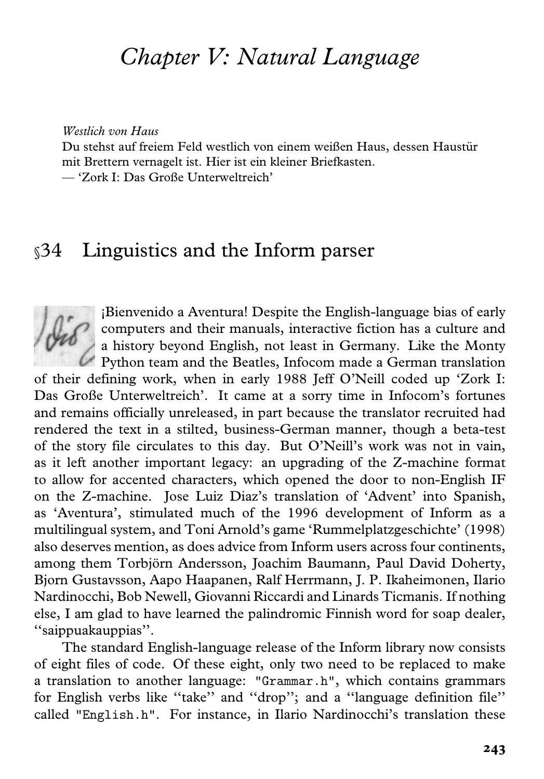# *Chapter V: Natural Language*

*Westlich von Haus*

Du stehst auf freiem Feld westlich von einem weißen Haus, dessen Haustür mit Brettern vernagelt ist. Hier ist ein kleiner Briefkasten.

— 'Zork I: Das Große Unterweltreich'

## §34 Linguistics and the Inform parser



¡Bienvenido a Aventura! Despite the English-language bias of early computers and their manuals, interactive fiction has a culture and a history beyond English, not least in Germany. Like the Monty Python team and the Beatles, Infocom made a German translation of their defining work, when in early 1988 Jeff O'Neill coded up 'Zork I: Das Große Unterweltreich'. It came at a sorry time in Infocom's fortunes and remains officially unreleased, in part because the translator recruited had rendered the text in a stilted, business-German manner, though a beta-test of the story file circulates to this day. But O'Neill's work was not in vain, as it left another important legacy: an upgrading of the Z-machine format to allow for accented characters, which opened the door to non-English IF on the Z-machine. Jose Luiz Diaz's translation of 'Advent' into Spanish, as 'Aventura', stimulated much of the 1996 development of Inform as a multilingual system, and Toni Arnold's game 'Rummelplatzgeschichte' (1998) also deserves mention, as does advice from Inform users across four continents, among them Torbjörn Andersson, Joachim Baumann, Paul David Doherty, Bjorn Gustavsson, Aapo Haapanen, Ralf Herrmann, J. P. Ikaheimonen, Ilario Nardinocchi, Bob Newell, Giovanni Riccardi and Linards Ticmanis. If nothing else, I am glad to have learned the palindromic Finnish word for soap dealer, ''saippuakauppias''.

The standard English-language release of the Inform library now consists of eight files of code. Of these eight, only two need to be replaced to make a translation to another language: "Grammar.h", which contains grammars for English verbs like ''take'' and ''drop''; and a ''language definition file'' called "English.h". For instance, in Ilario Nardinocchi's translation these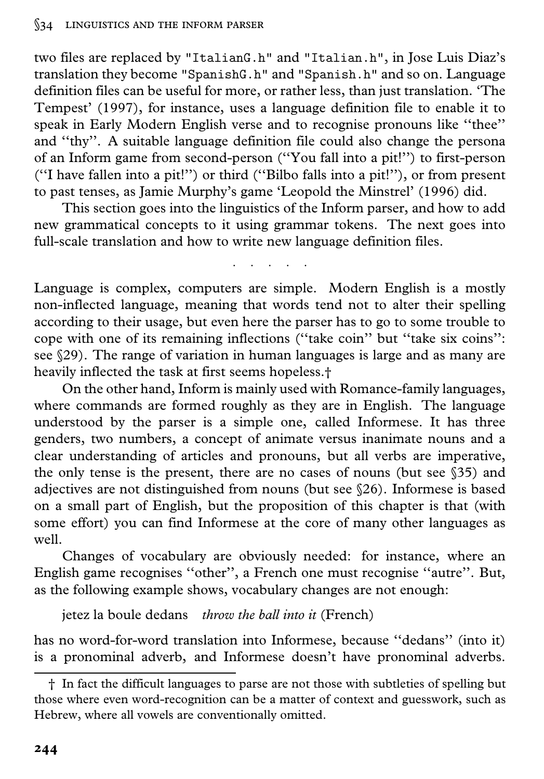two files are replaced by "ItalianG.h" and "Italian.h", in Jose Luis Diaz's translation they become "SpanishG.h" and "Spanish.h" and so on. Language definition files can be useful for more, or rather less, than just translation. 'The Tempest' (1997), for instance, uses a language definition file to enable it to speak in Early Modern English verse and to recognise pronouns like ''thee'' and ''thy''. A suitable language definition file could also change the persona of an Inform game from second-person (''You fall into a pit!'') to first-person (''I have fallen into a pit!'') or third (''Bilbo falls into a pit!''), or from present to past tenses, as Jamie Murphy's game 'Leopold the Minstrel' (1996) did.

This section goes into the linguistics of the Inform parser, and how to add new grammatical concepts to it using grammar tokens. The next goes into full-scale translation and how to write new language definition files.

 $\cdot$   $\cdot$   $\cdot$   $\cdot$   $\cdot$   $\cdot$   $\cdot$ 

Language is complex, computers are simple. Modern English is a mostly non-inflected language, meaning that words tend not to alter their spelling according to their usage, but even here the parser has to go to some trouble to cope with one of its remaining inflections (''take coin'' but ''take six coins'': see §29). The range of variation in human languages is large and as many are heavily inflected the task at first seems hopeless.†

On the other hand, Inform is mainly used with Romance-family languages, where commands are formed roughly as they are in English. The language understood by the parser is a simple one, called Informese. It has three genders, two numbers, a concept of animate versus inanimate nouns and a clear understanding of articles and pronouns, but all verbs are imperative, the only tense is the present, there are no cases of nouns (but see §35) and adjectives are not distinguished from nouns (but see §26). Informese is based on a small part of English, but the proposition of this chapter is that (with some effort) you can find Informese at the core of many other languages as well.

Changes of vocabulary are obviously needed: for instance, where an English game recognises ''other'', a French one must recognise ''autre''. But, as the following example shows, vocabulary changes are not enough:

jetez la boule dedans *throw the ball into it* (French)

has no word-for-word translation into Informese, because ''dedans'' (into it) is a pronominal adverb, and Informese doesn't have pronominal adverbs.

<sup>†</sup> In fact the difficult languages to parse are not those with subtleties of spelling but those where even word-recognition can be a matter of context and guesswork, such as Hebrew, where all vowels are conventionally omitted.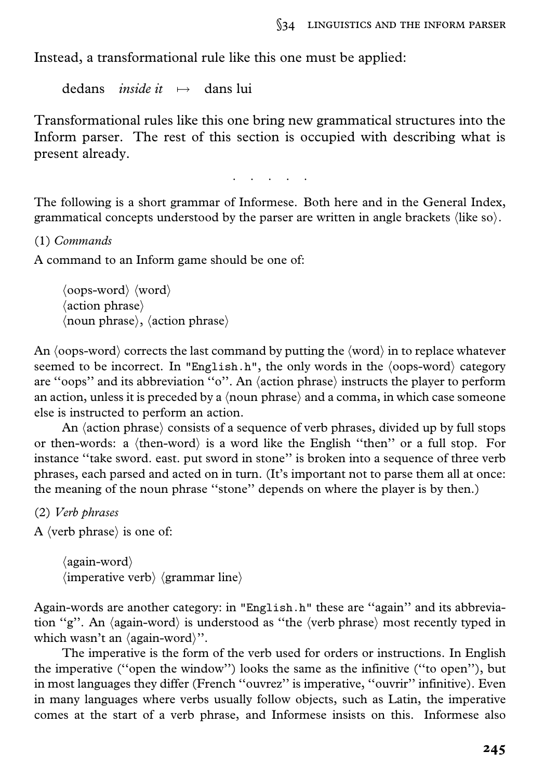Instead, a transformational rule like this one must be applied:

dedans *inside it* 7→ dans lui

Transformational rules like this one bring new grammatical structures into the Inform parser. The rest of this section is occupied with describing what is present already.

 $\cdot$   $\cdot$   $\cdot$   $\cdot$   $\cdot$   $\cdot$   $\cdot$ 

The following is a short grammar of Informese. Both here and in the General Index, grammatical concepts understood by the parser are written in angle brackets  $\langle$  like so $\rangle$ .

(1) *Commands*

A command to an Inform game should be one of:

 $\langle$ oops-word $\rangle$   $\langle$ word $\rangle$  $\langle$  action phrase $\rangle$  $\langle$  noun phrase $\rangle$ ,  $\langle$  action phrase $\rangle$ 

An  $\langle$ oops-word $\rangle$  corrects the last command by putting the  $\langle$ word $\rangle$  in to replace whatever seemed to be incorrect. In "English.h", the only words in the  $\langle$ oops-word $\rangle$  category are "oops" and its abbreviation "o". An  $\langle$  action phrase $\rangle$  instructs the player to perform an action, unless it is preceded by a  $\langle$  houn phrase $\rangle$  and a comma, in which case someone else is instructed to perform an action.

An  $\alpha$  action phrase) consists of a sequence of verb phrases, divided up by full stops or then-words: a  $\langle$ then-word $\rangle$  is a word like the English "then" or a full stop. For instance ''take sword. east. put sword in stone'' is broken into a sequence of three verb phrases, each parsed and acted on in turn. (It's important not to parse them all at once: the meaning of the noun phrase ''stone'' depends on where the player is by then.)

(2) *Verb phrases*

A  $\langle$  verb phrase $\rangle$  is one of:

 $\langle$ again-word $\rangle$  $\langle$ imperative verb $\rangle$   $\langle$ grammar line $\rangle$ 

Again-words are another category: in "English.h" these are ''again'' and its abbreviation "g". An  $\langle$ again-word $\rangle$  is understood as "the  $\langle$ verb phrase $\rangle$  most recently typed in which wasn't an  $\langle$ again-word $\rangle$ ".

The imperative is the form of the verb used for orders or instructions. In English the imperative (''open the window'') looks the same as the infinitive (''to open''), but in most languages they differ (French ''ouvrez'' is imperative, ''ouvrir'' infinitive). Even in many languages where verbs usually follow objects, such as Latin, the imperative comes at the start of a verb phrase, and Informese insists on this. Informese also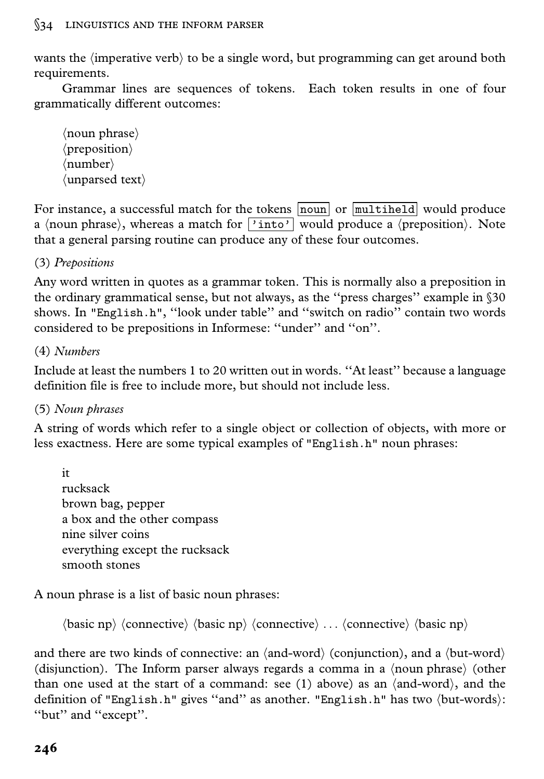wants the *(imperative verb)* to be a single word, but programming can get around both requirements.

Grammar lines are sequences of tokens. Each token results in one of four grammatically different outcomes:

 $\langle$  noun phrase $\rangle$  $\langle$ preposition $\rangle$  $\langle$ number $\rangle$  $\langle$ unparsed text $\rangle$ 

For instance, a successful match for the tokens noun or multiheld would produce a (noun phrase), whereas a match for  $\boxed{\text{'into'}}$  would produce a (preposition). Note that a general parsing routine can produce any of these four outcomes.

## (3) *Prepositions*

Any word written in quotes as a grammar token. This is normally also a preposition in the ordinary grammatical sense, but not always, as the ''press charges'' example in §30 shows. In "English.h", ''look under table'' and ''switch on radio'' contain two words considered to be prepositions in Informese: ''under'' and ''on''.

## (4) *Numbers*

Include at least the numbers 1 to 20 written out in words. ''At least'' because a language definition file is free to include more, but should not include less.

## (5) *Noun phrases*

A string of words which refer to a single object or collection of objects, with more or less exactness. Here are some typical examples of "English.h" noun phrases:

it rucksack brown bag, pepper a box and the other compass nine silver coins everything except the rucksack smooth stones

A noun phrase is a list of basic noun phrases:

 $\langle$ basic np $\rangle$   $\langle$ connective $\rangle$   $\langle$ basic np $\rangle$   $\langle$ connective $\rangle$  ...  $\langle$ connective $\rangle$   $\langle$ basic np $\rangle$ 

and there are two kinds of connective: an  $\langle$  and-word $\rangle$  (conjunction), and a  $\langle$  but-word $\rangle$ (disjunction). The Inform parser always regards a comma in a  $\langle$  noun phrase $\rangle$  (other than one used at the start of a command: see (1) above) as an  $\langle$  and-word $\rangle$ , and the definition of "English.h" gives "and" as another. "English.h" has two  $\langle \text{but-words} \rangle$ : ''but'' and ''except''.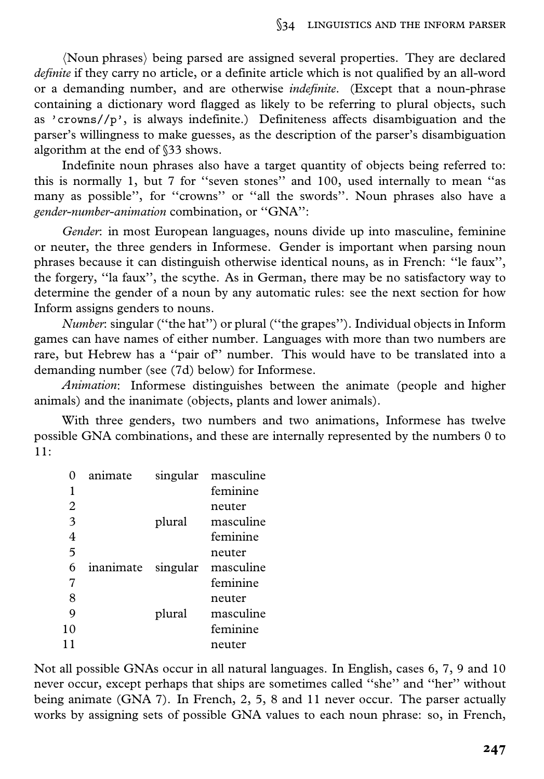$\langle$  Noun phrases $\rangle$  being parsed are assigned several properties. They are declared *definite* if they carry no article, or a definite article which is not qualified by an all-word or a demanding number, and are otherwise *indefinite*. (Except that a noun-phrase containing a dictionary word flagged as likely to be referring to plural objects, such as 'crowns/ $/p$ ', is always indefinite.) Definiteness affects disambiguation and the parser's willingness to make guesses, as the description of the parser's disambiguation algorithm at the end of §33 shows.

Indefinite noun phrases also have a target quantity of objects being referred to: this is normally 1, but 7 for ''seven stones'' and 100, used internally to mean ''as many as possible'', for ''crowns'' or ''all the swords''. Noun phrases also have a *gender-number-animation* combination, or ''GNA'':

*Gender*: in most European languages, nouns divide up into masculine, feminine or neuter, the three genders in Informese. Gender is important when parsing noun phrases because it can distinguish otherwise identical nouns, as in French: ''le faux'', the forgery, ''la faux'', the scythe. As in German, there may be no satisfactory way to determine the gender of a noun by any automatic rules: see the next section for how Inform assigns genders to nouns.

*Number*: singular ("the hat") or plural ("the grapes"). Individual objects in Inform games can have names of either number. Languages with more than two numbers are rare, but Hebrew has a ''pair of'' number. This would have to be translated into a demanding number (see (7d) below) for Informese.

*Animation*: Informese distinguishes between the animate (people and higher animals) and the inanimate (objects, plants and lower animals).

With three genders, two numbers and two animations, Informese has twelve possible GNA combinations, and these are internally represented by the numbers 0 to 11:

|    | animate            |        | singular masculine |
|----|--------------------|--------|--------------------|
|    |                    |        | feminine           |
| 2  |                    |        | neuter             |
| 3  |                    | plural | masculine          |
| 4  |                    |        | feminine           |
| 5  |                    |        | neuter             |
| 6  | inanimate singular |        | masculine          |
| 7  |                    |        | feminine           |
| 8  |                    |        | neuter             |
| 9  |                    | plural | masculine          |
| 10 |                    |        | feminine           |
|    |                    |        | neuter             |

Not all possible GNAs occur in all natural languages. In English, cases 6, 7, 9 and 10 never occur, except perhaps that ships are sometimes called ''she'' and ''her'' without being animate (GNA 7). In French, 2, 5, 8 and 11 never occur. The parser actually works by assigning sets of possible GNA values to each noun phrase: so, in French,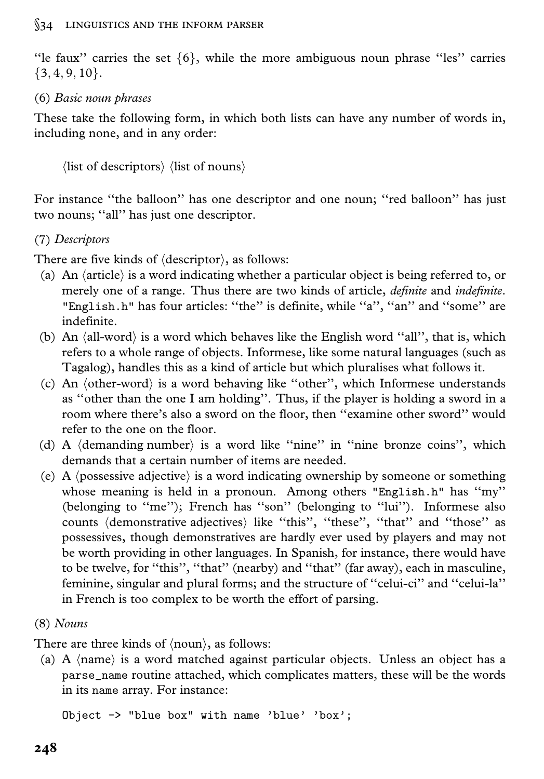"le faux" carries the set  $\{6\}$ , while the more ambiguous noun phrase "les" carries  ${3, 4, 9, 10}.$ 

#### (6) *Basic noun phrases*

These take the following form, in which both lists can have any number of words in, including none, and in any order:

 $\langle$ list of descriptors $\rangle$   $\langle$ list of nouns $\rangle$ 

For instance ''the balloon'' has one descriptor and one noun; ''red balloon'' has just two nouns; ''all'' has just one descriptor.

## (7) *Descriptors*

There are five kinds of  $\langle$  descriptor $\rangle$ , as follows:

- (a) An  $\langle$  article $\rangle$  is a word indicating whether a particular object is being referred to, or merely one of a range. Thus there are two kinds of article, *definite* and *indefinite*. "English.h" has four articles: "the" is definite, while "a", "an" and "some" are indefinite.
- (b) An  $\langle$  all-word $\rangle$  is a word which behaves like the English word "all", that is, which refers to a whole range of objects. Informese, like some natural languages (such as Tagalog), handles this as a kind of article but which pluralises what follows it.
- (c) An  $\langle$  other-word $\rangle$  is a word behaving like "other", which Informese understands as ''other than the one I am holding''. Thus, if the player is holding a sword in a room where there's also a sword on the floor, then ''examine other sword'' would refer to the one on the floor.
- (d) A  $\langle$  demanding number $\rangle$  is a word like "nine" in "nine bronze coins", which demands that a certain number of items are needed.
- (e) A  $\langle$  possessive adjective $\rangle$  is a word indicating ownership by someone or something whose meaning is held in a pronoun. Among others "English.h" has ''my'' (belonging to ''me''); French has ''son'' (belonging to ''lui''). Informese also counts (demonstrative adjectives) like "this", "these", "that" and "those" as possessives, though demonstratives are hardly ever used by players and may not be worth providing in other languages. In Spanish, for instance, there would have to be twelve, for ''this'', ''that'' (nearby) and ''that'' (far away), each in masculine, feminine, singular and plural forms; and the structure of ''celui-ci'' and ''celui-la'' in French is too complex to be worth the effort of parsing.

## (8) *Nouns*

There are three kinds of  $\langle$  noun $\rangle$ , as follows:

(a) A  $\langle$  hame $\rangle$  is a word matched against particular objects. Unless an object has a parse\_name routine attached, which complicates matters, these will be the words in its name array. For instance:

Object -> "blue box" with name 'blue' 'box';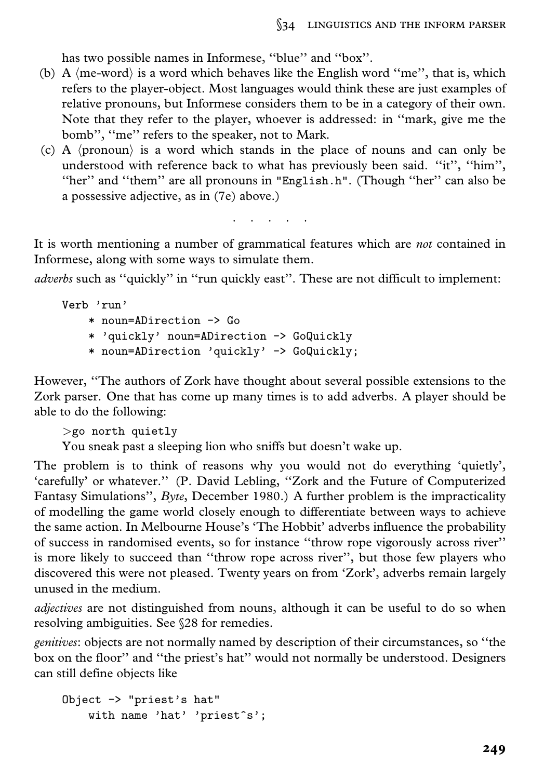has two possible names in Informese, ''blue'' and ''box''.

- (b) A  $\langle$ me-word $\rangle$  is a word which behaves like the English word "me", that is, which refers to the player-object. Most languages would think these are just examples of relative pronouns, but Informese considers them to be in a category of their own. Note that they refer to the player, whoever is addressed: in ''mark, give me the bomb", "me" refers to the speaker, not to Mark.
- (c) A  $\langle$  pronoun $\rangle$  is a word which stands in the place of nouns and can only be understood with reference back to what has previously been said. "it", "him", ''her'' and ''them'' are all pronouns in "English.h". (Though ''her'' can also be a possessive adjective, as in (7e) above.)

 $\cdot$   $\cdot$   $\cdot$   $\cdot$   $\cdot$   $\cdot$   $\cdot$ 

It is worth mentioning a number of grammatical features which are *not* contained in Informese, along with some ways to simulate them.

*adverbs* such as ''quickly'' in ''run quickly east''. These are not difficult to implement:

Verb 'run'

- \* noun=ADirection -> Go
- \* 'quickly' noun=ADirection -> GoQuickly
- \* noun=ADirection 'quickly' -> GoQuickly;

However, ''The authors of Zork have thought about several possible extensions to the Zork parser. One that has come up many times is to add adverbs. A player should be able to do the following:

>go north quietly

You sneak past a sleeping lion who sniffs but doesn't wake up.

The problem is to think of reasons why you would not do everything 'quietly', 'carefully' or whatever.'' (P. David Lebling, ''Zork and the Future of Computerized Fantasy Simulations'', *Byte*, December 1980.) A further problem is the impracticality of modelling the game world closely enough to differentiate between ways to achieve the same action. In Melbourne House's 'The Hobbit' adverbs influence the probability of success in randomised events, so for instance ''throw rope vigorously across river'' is more likely to succeed than ''throw rope across river'', but those few players who discovered this were not pleased. Twenty years on from 'Zork', adverbs remain largely unused in the medium.

*adjectives* are not distinguished from nouns, although it can be useful to do so when resolving ambiguities. See §28 for remedies.

*genitives*: objects are not normally named by description of their circumstances, so ''the box on the floor'' and ''the priest's hat'' would not normally be understood. Designers can still define objects like

Object -> "priest's hat" with name 'hat' 'priest<sup>o</sup>s';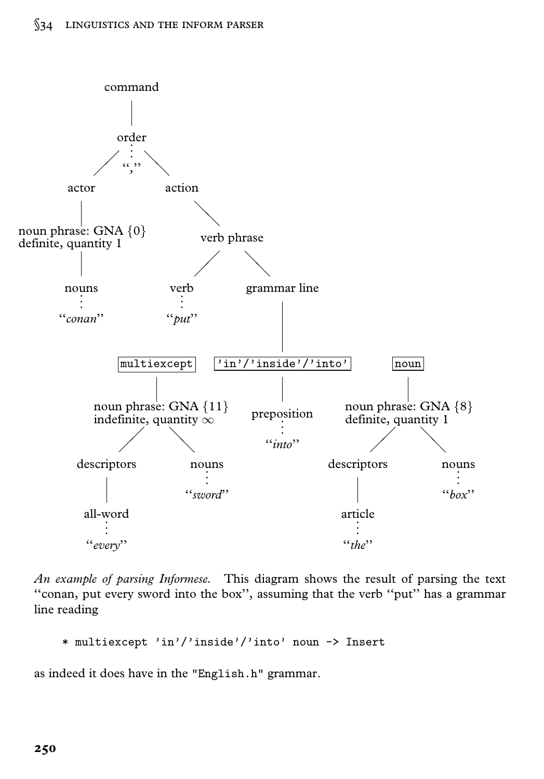

*An example of parsing Informese.* This diagram shows the result of parsing the text ''conan, put every sword into the box'', assuming that the verb ''put'' has a grammar line reading

\* multiexcept 'in'/'inside'/'into' noun -> Insert

as indeed it does have in the "English.h" grammar.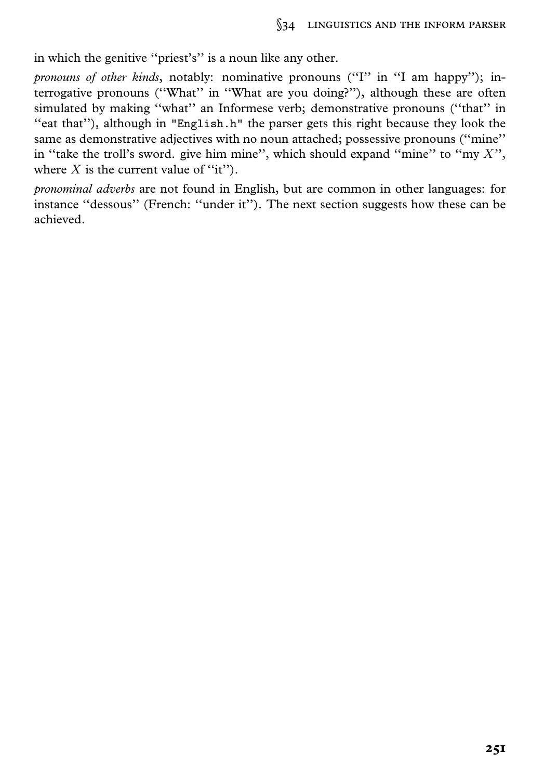in which the genitive ''priest's'' is a noun like any other.

*pronouns of other kinds*, notably: nominative pronouns (''I'' in ''I am happy''); interrogative pronouns (''What'' in ''What are you doing?''), although these are often simulated by making ''what'' an Informese verb; demonstrative pronouns (''that'' in "eat that"), although in "English.h" the parser gets this right because they look the same as demonstrative adjectives with no noun attached; possessive pronouns (''mine'' in "take the troll's sword. give him mine", which should expand "mine" to "my  $X$ ", where  $X$  is the current value of "it").

*pronominal adverbs* are not found in English, but are common in other languages: for instance ''dessous'' (French: ''under it''). The next section suggests how these can be achieved.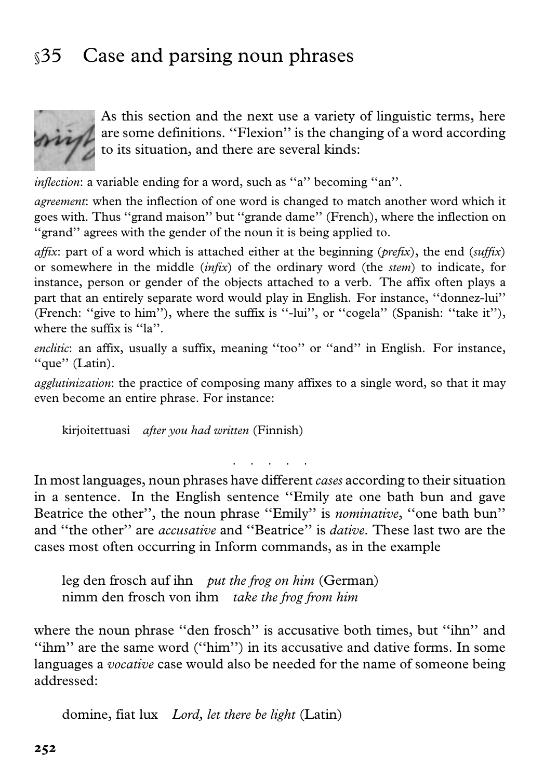# §35 Case and parsing noun phrases



As this section and the next use a variety of linguistic terms, here are some definitions. ''Flexion'' is the changing of a word according to its situation, and there are several kinds:

*inflection*: a variable ending for a word, such as ''a'' becoming ''an''.

*agreement*: when the inflection of one word is changed to match another word which it goes with. Thus ''grand maison'' but ''grande dame'' (French), where the inflection on ''grand'' agrees with the gender of the noun it is being applied to.

*affix*: part of a word which is attached either at the beginning (*prefix*), the end (*suffix*) or somewhere in the middle (*infix*) of the ordinary word (the *stem*) to indicate, for instance, person or gender of the objects attached to a verb. The affix often plays a part that an entirely separate word would play in English. For instance, ''donnez-lui'' (French: ''give to him''), where the suffix is ''-lui'', or ''cogela'' (Spanish: ''take it''), where the suffix is "la".

*enclitic*: an affix, usually a suffix, meaning ''too'' or ''and'' in English. For instance, "que" (Latin).

*agglutinization*: the practice of composing many affixes to a single word, so that it may even become an entire phrase. For instance:

kirjoitettuasi *after you had written* (Finnish)

· · · · ·

In most languages, noun phrases have different *cases* according to their situation in a sentence. In the English sentence ''Emily ate one bath bun and gave Beatrice the other'', the noun phrase ''Emily'' is *nominative*, ''one bath bun'' and ''the other'' are *accusative* and ''Beatrice'' is *dative*. These last two are the cases most often occurring in Inform commands, as in the example

leg den frosch auf ihn *put the frog on him* (German) nimm den frosch von ihm *take the frog from him*

where the noun phrase ''den frosch'' is accusative both times, but ''ihn'' and ''ihm'' are the same word (''him'') in its accusative and dative forms. In some languages a *vocative* case would also be needed for the name of someone being addressed:

domine, fiat lux *Lord, let there be light* (Latin)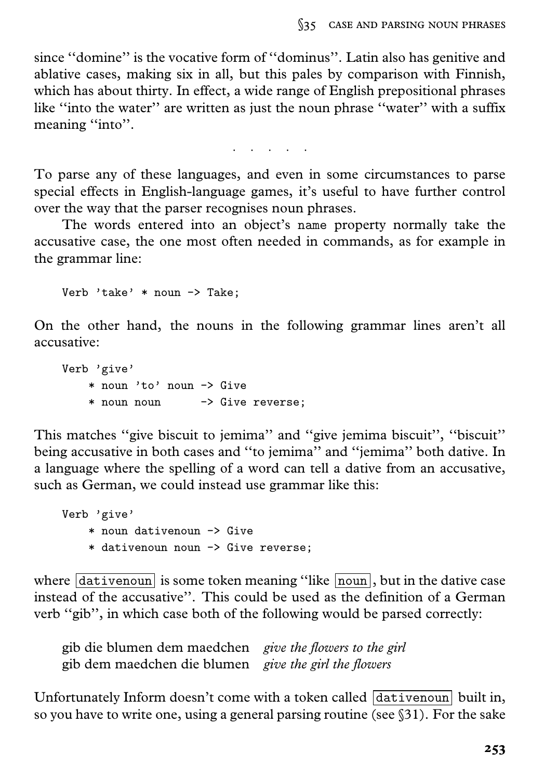since ''domine'' is the vocative form of ''dominus''. Latin also has genitive and ablative cases, making six in all, but this pales by comparison with Finnish, which has about thirty. In effect, a wide range of English prepositional phrases like "into the water" are written as just the noun phrase "water" with a suffix meaning "into".

 $\cdot$   $\cdot$   $\cdot$   $\cdot$   $\cdot$   $\cdot$ 

To parse any of these languages, and even in some circumstances to parse special effects in English-language games, it's useful to have further control over the way that the parser recognises noun phrases.

The words entered into an object's name property normally take the accusative case, the one most often needed in commands, as for example in the grammar line:

Verb 'take' \* noun -> Take;

On the other hand, the nouns in the following grammar lines aren't all accusative:

```
Verb 'give'
   * noun 'to' noun -> Give
   * noun noun -> Give reverse;
```
This matches ''give biscuit to jemima'' and ''give jemima biscuit'', ''biscuit'' being accusative in both cases and ''to jemima'' and ''jemima'' both dative. In a language where the spelling of a word can tell a dative from an accusative, such as German, we could instead use grammar like this:

```
Verb 'give'
    * noun dativenoun -> Give
    * dativenoun noun -> Give reverse;
```
where  $\boxed{\text{dativenoun}}$  is some token meaning "like  $\boxed{\text{noun}}$ , but in the dative case instead of the accusative''. This could be used as the definition of a German verb ''gib'', in which case both of the following would be parsed correctly:

gib die blumen dem maedchen *give the flowers to the girl* gib dem maedchen die blumen *give the girl the flowers*

Unfortunately Inform doesn't come with a token called  $\left| \det \theta \right|$  built in, so you have to write one, using a general parsing routine (see §31). For the sake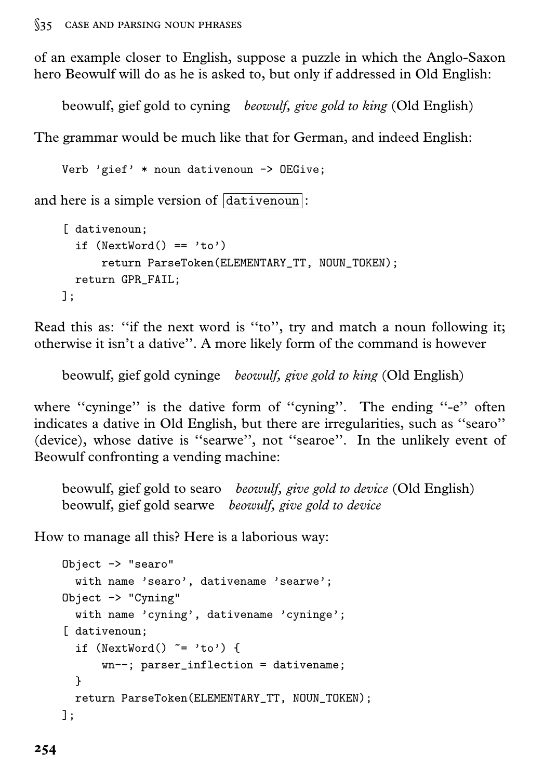of an example closer to English, suppose a puzzle in which the Anglo-Saxon hero Beowulf will do as he is asked to, but only if addressed in Old English:

beowulf, gief gold to cyning *beowulf, give gold to king* (Old English)

The grammar would be much like that for German, and indeed English:

```
Verb 'gief' * noun dativenoun -> OEGive;
```
and here is a simple version of  $|$  dativenoun $|$ :

```
[ dativenoun;
  if (NextWord() == 'to')return ParseToken(ELEMENTARY_TT, NOUN_TOKEN);
  return GPR_FAIL;
];
```
Read this as: ''if the next word is ''to'', try and match a noun following it; otherwise it isn't a dative''. A more likely form of the command is however

beowulf, gief gold cyninge *beowulf, give gold to king* (Old English)

where "cyninge" is the dative form of "cyning". The ending "-e" often indicates a dative in Old English, but there are irregularities, such as ''searo'' (device), whose dative is ''searwe'', not ''searoe''. In the unlikely event of Beowulf confronting a vending machine:

beowulf, gief gold to searo *beowulf, give gold to device* (Old English) beowulf, gief gold searwe *beowulf, give gold to device*

How to manage all this? Here is a laborious way:

```
Object -> "searo"
  with name 'searo', dativename 'searwe';
Object -> "Cyning"
  with name 'cyning', dativename 'cyninge';
[ dativenoun;
  if (NextWord() \tilde{=} 'to') {
      wn--; parser_inflection = dativename;
  }
  return ParseToken(ELEMENTARY_TT, NOUN_TOKEN);
];
```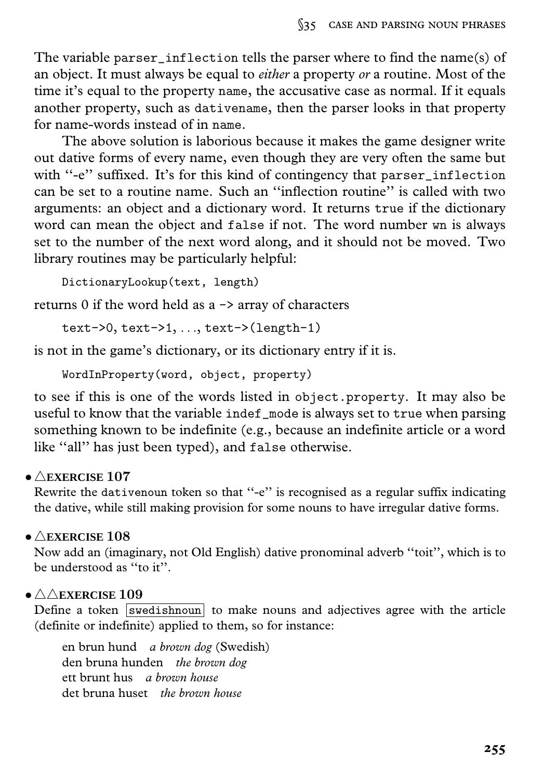The variable parser\_inflection tells the parser where to find the name(s) of an object. It must always be equal to *either* a property *or* a routine. Most of the time it's equal to the property name, the accusative case as normal. If it equals another property, such as dativename, then the parser looks in that property for name-words instead of in name.

The above solution is laborious because it makes the game designer write out dative forms of every name, even though they are very often the same but with "-e" suffixed. It's for this kind of contingency that parser\_inflection can be set to a routine name. Such an ''inflection routine'' is called with two arguments: an object and a dictionary word. It returns true if the dictionary word can mean the object and false if not. The word number wn is always set to the number of the next word along, and it should not be moved. Two library routines may be particularly helpful:

DictionaryLookup(text, length)

returns 0 if the word held as a -> array of characters

```
text->0, text->1, ..., text->(length-1)
```
is not in the game's dictionary, or its dictionary entry if it is.

WordInProperty(word, object, property)

to see if this is one of the words listed in object.property. It may also be useful to know that the variable indef\_mode is always set to true when parsing something known to be indefinite (e.g., because an indefinite article or a word like "all" has just been typed), and false otherwise.

#### $\bullet$   $\triangle$ **EXERCISE** 107

Rewrite the dativenoun token so that ''-e'' is recognised as a regular suffix indicating the dative, while still making provision for some nouns to have irregular dative forms.

## $\bullet$   $\triangle$ **EXERCISE** 108

Now add an (imaginary, not Old English) dative pronominal adverb ''toit'', which is to be understood as ''to it''.

## $\bullet$   $\land$  **EXERCISE** 109

Define a token swedishnoun to make nouns and adjectives agree with the article (definite or indefinite) applied to them, so for instance:

en brun hund *a brown dog* (Swedish) den bruna hunden *the brown dog* ett brunt hus *a brown house* det bruna huset *the brown house*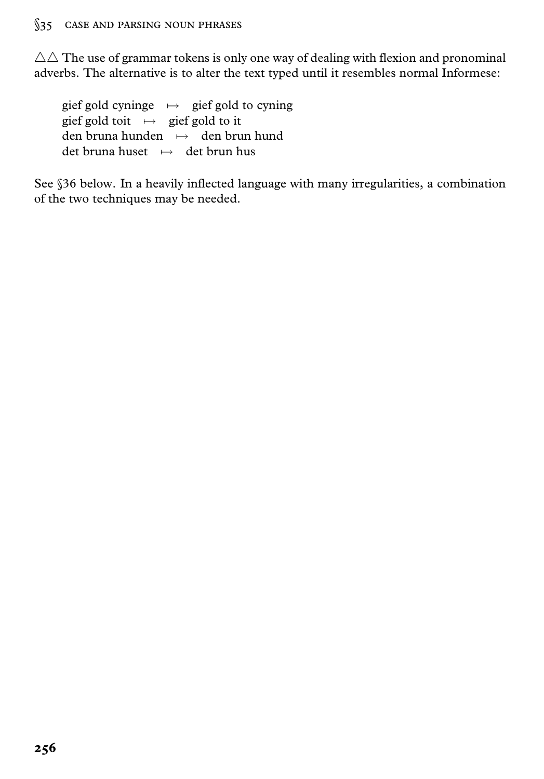$\triangle\triangle$  The use of grammar tokens is only one way of dealing with flexion and pronominal adverbs. The alternative is to alter the text typed until it resembles normal Informese:

gief gold cyninge  $\rightarrow$  gief gold to cyning gief gold toit  $\mapsto$  gief gold to it den bruna hunden 7→ den brun hund det bruna huset 7→ det brun hus

See §36 below. In a heavily inflected language with many irregularities, a combination of the two techniques may be needed.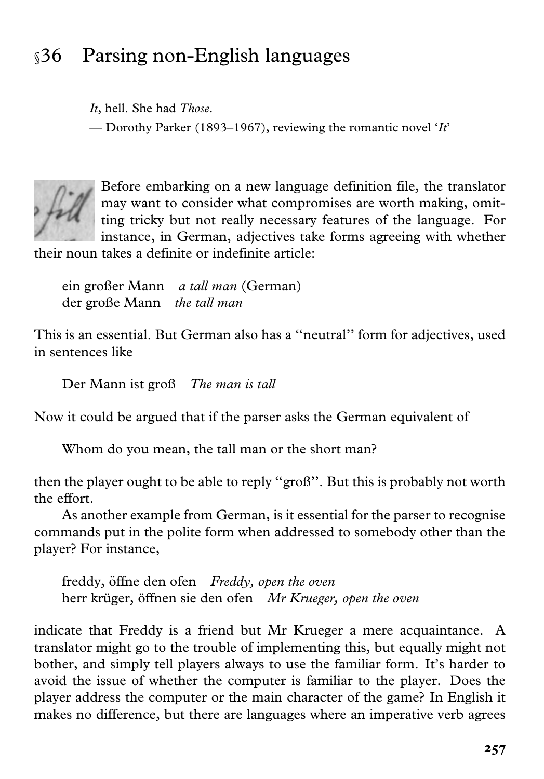## §36 Parsing non-English languages

*It*, hell. She had *Those*.

— Dorothy Parker (1893–1967), reviewing the romantic novel '*It*'



Before embarking on a new language definition file, the translator may want to consider what compromises are worth making, omitting tricky but not really necessary features of the language. For instance, in German, adjectives take forms agreeing with whether

their noun takes a definite or indefinite article:

ein großer Mann *a tall man* (German) der große Mann *the tall man*

This is an essential. But German also has a ''neutral'' form for adjectives, used in sentences like

Der Mann ist groß *The man is tall*

Now it could be argued that if the parser asks the German equivalent of

Whom do you mean, the tall man or the short man?

then the player ought to be able to reply ''groß''. But this is probably not worth the effort.

As another example from German, is it essential for the parser to recognise commands put in the polite form when addressed to somebody other than the player? For instance,

freddy, öffne den ofen Freddy, open the oven herr krüger, öffnen sie den ofen *Mr Krueger, open the oven* 

indicate that Freddy is a friend but Mr Krueger a mere acquaintance. A translator might go to the trouble of implementing this, but equally might not bother, and simply tell players always to use the familiar form. It's harder to avoid the issue of whether the computer is familiar to the player. Does the player address the computer or the main character of the game? In English it makes no difference, but there are languages where an imperative verb agrees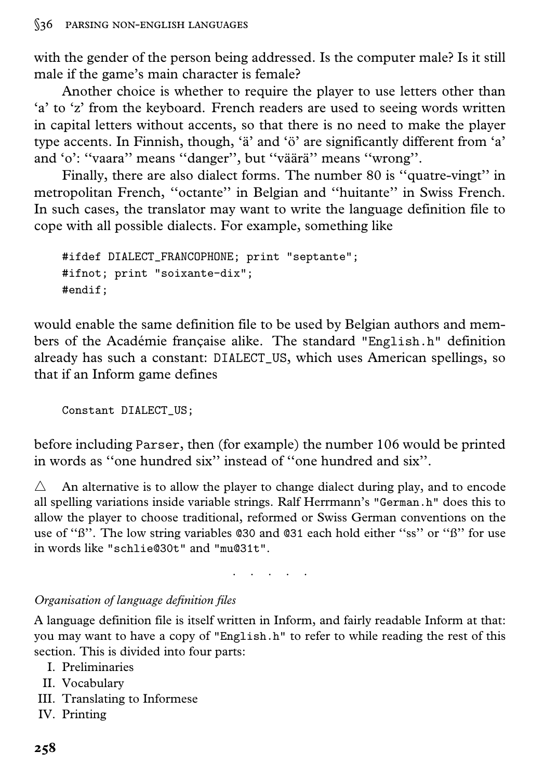with the gender of the person being addressed. Is the computer male? Is it still male if the game's main character is female?

Another choice is whether to require the player to use letters other than 'a' to 'z' from the keyboard. French readers are used to seeing words written in capital letters without accents, so that there is no need to make the player type accents. In Finnish, though, 'ä' and 'ö' are significantly different from 'a' and 'o': "vaara" means "danger", but "väärä" means "wrong".

Finally, there are also dialect forms. The number 80 is ''quatre-vingt'' in metropolitan French, ''octante'' in Belgian and ''huitante'' in Swiss French. In such cases, the translator may want to write the language definition file to cope with all possible dialects. For example, something like

```
#ifdef DIALECT_FRANCOPHONE; print "septante";
#ifnot; print "soixante-dix";
#endif;
```
would enable the same definition file to be used by Belgian authors and members of the Académie française alike. The standard "English.h" definition already has such a constant: DIALECT\_US, which uses American spellings, so that if an Inform game defines

Constant DIALECT\_US;

before including Parser, then (for example) the number 106 would be printed in words as ''one hundred six'' instead of ''one hundred and six''.

 $\triangle$  An alternative is to allow the player to change dialect during play, and to encode all spelling variations inside variable strings. Ralf Herrmann's "German.h" does this to allow the player to choose traditional, reformed or Swiss German conventions on the use of ''ß''. The low string variables @30 and @31 each hold either ''ss'' or ''ß'' for use in words like "schlie@30t" and "mu@31t".

 $\cdot$   $\cdot$   $\cdot$   $\cdot$   $\cdot$   $\cdot$ 

## *Organisation of language definition files*

A language definition file is itself written in Inform, and fairly readable Inform at that: you may want to have a copy of "English.h" to refer to while reading the rest of this section. This is divided into four parts:

- I. Preliminaries
- II. Vocabulary
- III. Translating to Informese
- IV. Printing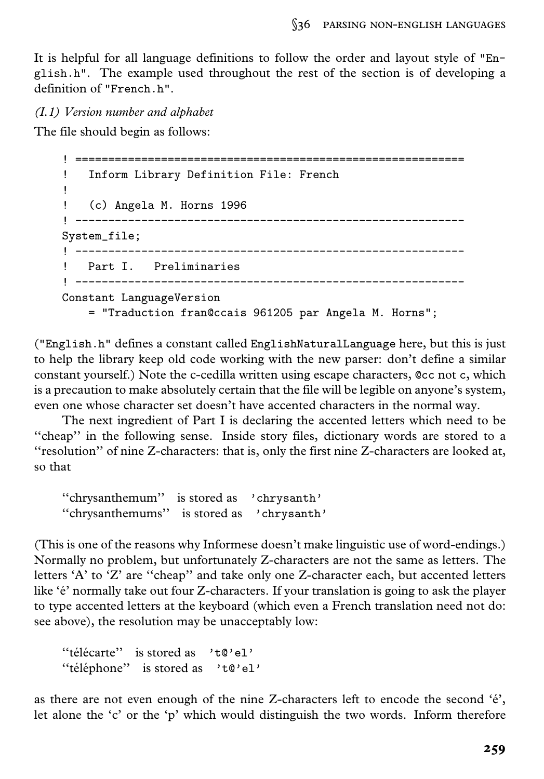It is helpful for all language definitions to follow the order and layout style of "English.h". The example used throughout the rest of the section is of developing a definition of "French.h".

*(I.1) Version number and alphabet*

The file should begin as follows:

```
! ===========================================================
! Inform Library Definition File: French
!
! (c) Angela M. Horns 1996
! -----------------------------------------------------------
System_file;
! -----------------------------------------------------------
   Part I. Preliminaries
! -----------------------------------------------------------
Constant LanguageVersion
    = "Traduction fran@ccais 961205 par Angela M. Horns";
```
("English.h" defines a constant called EnglishNaturalLanguage here, but this is just to help the library keep old code working with the new parser: don't define a similar constant yourself.) Note the c-cedilla written using escape characters, @cc not c, which is a precaution to make absolutely certain that the file will be legible on anyone's system, even one whose character set doesn't have accented characters in the normal way.

The next ingredient of Part I is declaring the accented letters which need to be ''cheap'' in the following sense. Inside story files, dictionary words are stored to a ''resolution'' of nine Z-characters: that is, only the first nine Z-characters are looked at, so that

''chrysanthemum'' is stored as 'chrysanth' ''chrysanthemums'' is stored as 'chrysanth'

(This is one of the reasons why Informese doesn't make linguistic use of word-endings.) Normally no problem, but unfortunately Z-characters are not the same as letters. The letters 'A' to 'Z' are ''cheap'' and take only one Z-character each, but accented letters like 'é' normally take out four  $Z$ -characters. If your translation is going to ask the player to type accented letters at the keyboard (which even a French translation need not do: see above), the resolution may be unacceptably low:

```
"télécarte" is stored as 't@'el'
"téléphone" is stored as 't@'el'
```
as there are not even enough of the nine Z-characters left to encode the second  $\hat{\epsilon}$ , let alone the 'c' or the 'p' which would distinguish the two words. Inform therefore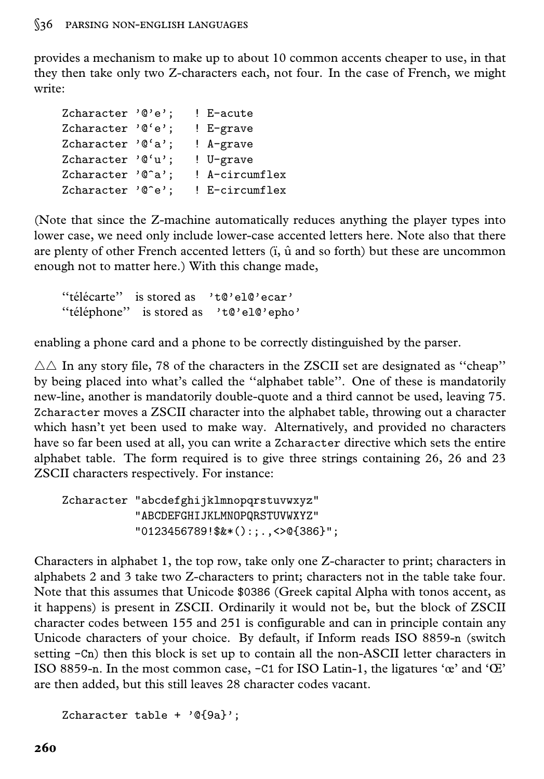provides a mechanism to make up to about 10 common accents cheaper to use, in that they then take only two Z-characters each, not four. In the case of French, we might write:

| Zcharacter '0'e'; |  | ! E-acute      |
|-------------------|--|----------------|
| Zcharacter '0'e'; |  | ! E-grave      |
| Zcharacter '0'a'; |  | ! A-grave      |
| Zcharacter '0'u'; |  | ! U-grave      |
| Zcharacter '0^a'; |  | ! A-circumflex |
| Zcharacter 'O^e'; |  | ! E-circumflex |

(Note that since the Z-machine automatically reduces anything the player types into lower case, we need only include lower-case accented letters here. Note also that there are plenty of other French accented letters  $(i, \hat{u} \text{ and so forth})$  but these are uncommon enough not to matter here.) With this change made,

"télécarte" is stored as 't@'el@'ecar' "téléphone" is stored as 't@'el@'epho'

enabling a phone card and a phone to be correctly distinguished by the parser.

 $\triangle\triangle$  In any story file, 78 of the characters in the ZSCII set are designated as "cheap" by being placed into what's called the ''alphabet table''. One of these is mandatorily new-line, another is mandatorily double-quote and a third cannot be used, leaving 75. Zcharacter moves a ZSCII character into the alphabet table, throwing out a character which hasn't yet been used to make way. Alternatively, and provided no characters have so far been used at all, you can write a Zcharacter directive which sets the entire alphabet table. The form required is to give three strings containing 26, 26 and 23 ZSCII characters respectively. For instance:

```
Zcharacter "abcdefghijklmnopqrstuvwxyz"
           "ABCDEFGHIJKLMNOPQRSTUVWXYZ"
           "0123456789!$&*():;.,<>@{386}";
```
Characters in alphabet 1, the top row, take only one Z-character to print; characters in alphabets 2 and 3 take two Z-characters to print; characters not in the table take four. Note that this assumes that Unicode \$0386 (Greek capital Alpha with tonos accent, as it happens) is present in ZSCII. Ordinarily it would not be, but the block of ZSCII character codes between 155 and 251 is configurable and can in principle contain any Unicode characters of your choice. By default, if Inform reads ISO 8859-n (switch setting  $-Cn$ ) then this block is set up to contain all the non-ASCII letter characters in ISO 8859-n. In the most common case,  $-C1$  for ISO Latin-1, the ligatures 'œ' and 'Œ' are then added, but this still leaves 28 character codes vacant.

```
Zcharacter table + ' @{9a}';
```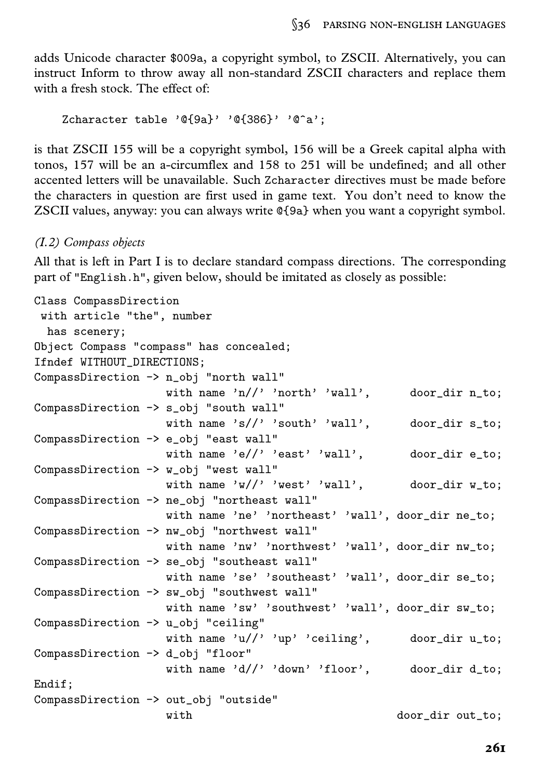adds Unicode character \$009a, a copyright symbol, to ZSCII. Alternatively, you can instruct Inform to throw away all non-standard ZSCII characters and replace them with a fresh stock. The effect of:

Zcharacter table ' $\mathcal{O}\{9a\}$ ' ' $\mathcal{O}\{386\}$ ' ' $\mathcal{O}^a$ a';

is that ZSCII 155 will be a copyright symbol, 156 will be a Greek capital alpha with tonos, 157 will be an a-circumflex and 158 to 251 will be undefined; and all other accented letters will be unavailable. Such Zcharacter directives must be made before the characters in question are first used in game text. You don't need to know the ZSCII values, anyway: you can always write @{9a} when you want a copyright symbol.

#### *(I.2) Compass objects*

All that is left in Part I is to declare standard compass directions. The corresponding part of "English.h", given below, should be imitated as closely as possible:

```
Class CompassDirection
with article "the", number
 has scenery;
Object Compass "compass" has concealed;
Ifndef WITHOUT_DIRECTIONS;
CompassDirection -> n_obj "north wall"
                  with name 'n//' 'north' 'wall', door_dir n_to;
CompassDirection -> s_obj "south wall"
                   with name 's//' 'south' 'wall', door_dir s_to;
CompassDirection -> e_obj "east wall"
                  with name 'e//' 'east' 'wall', \qquad \qquad door_dir e_to;
CompassDirection -> w_obj "west wall"
                   with name 'w//' 'west' 'wall', door_dir w_to;
CompassDirection -> ne_obj "northeast wall"
                   with name 'ne' 'northeast' 'wall', door_dir ne_to;
CompassDirection -> nw_obj "northwest wall"
                   with name 'nw' 'northwest' 'wall', door_dir nw_to;
CompassDirection -> se_obj "southeast wall"
                   with name 'se' 'southeast' 'wall', door_dir se_to;
CompassDirection -> sw_obj "southwest wall"
                   with name 'sw' 'southwest' 'wall', door_dir sw_to;
CompassDirection -> u_obj "ceiling"
                   with name 'u//' 'up' 'ceiling', door_dir u_to;
CompassDirection -> d_obj "floor"
                   with name 'd//' 'down' 'floor', door_dir d_to;
Endif;
CompassDirection -> out_obj "outside"
                   with door_dir out_to;
```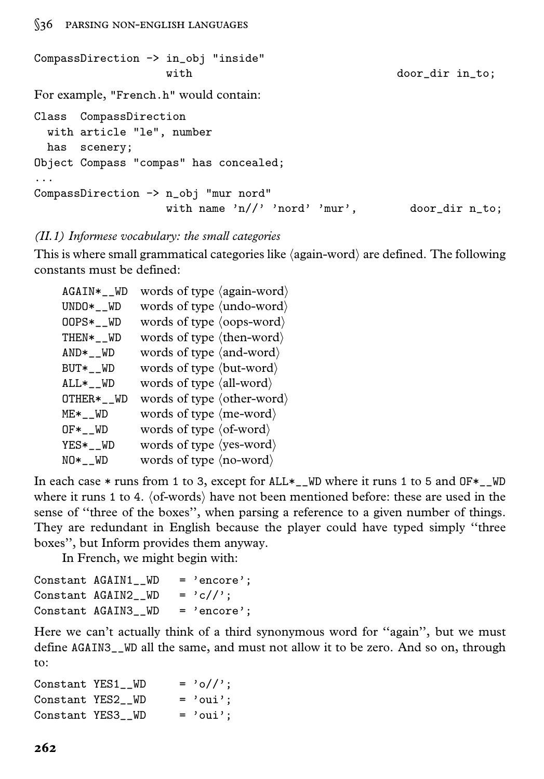```
CompassDirection -> in_obj "inside"
                  with door_dir in_to;
For example, "French.h" would contain:
Class CompassDirection
 with article "le", number
 has scenery;
Object Compass "compas" has concealed;
...
CompassDirection -> n_obj "mur nord"
                  with name 'n//' 'nord' 'mur', door_dir n_to;
```
#### *(II.1) Informese vocabulary: the small categories*

This is where small grammatical categories like  $\langle$  again-word $\rangle$  are defined. The following constants must be defined:

| AGAIN* WD   | words of type $\langle$ again-word $\rangle$ |
|-------------|----------------------------------------------|
| $UNDO*$ _WD | words of type $\langle$ undo-word $\rangle$  |
| 00PS* WD    | words of type (oops-word)                    |
| THEN* WD    | words of type $\langle$ then-word $\rangle$  |
| AND* WD     | words of type $\langle$ and-word $\rangle$   |
| BUT* WD     | words of type $\langle$ but-word $\rangle$   |
| ALL* WD     | words of type $\langle$ all-word $\rangle$   |
| OTHER* WD   | words of type $\langle$ other-word $\rangle$ |
| $ME*$ __WD  | words of type $\langle$ me-word $\rangle$    |
| $OF*$ __WD  | words of type $\langle$ of-word $\rangle$    |
| $YES*$ _ WD | words of type $\langle$ yes-word $\rangle$   |
| $NO*$ __WD  | words of type $\langle$ no-word $\rangle$    |
|             |                                              |

In each case \* runs from 1 to 3, except for ALL\*\_\_WD where it runs 1 to 5 and OF\*\_\_WD where it runs 1 to 4.  $\langle$  of-words $\rangle$  have not been mentioned before: these are used in the sense of ''three of the boxes'', when parsing a reference to a given number of things. They are redundant in English because the player could have typed simply ''three boxes'', but Inform provides them anyway.

In French, we might begin with:

| Constant AGAIN1__WD | $= 'encore':$ |
|---------------------|---------------|
| Constant AGAIN2__WD | $=$ 'c//':    |
| Constant AGAIN3__WD | $= 'encore';$ |

Here we can't actually think of a third synonymous word for "again", but we must define AGAIN3\_\_WD all the same, and must not allow it to be zero. And so on, through to:

```
Constant YES1_{-}WD = 'o//';Constant YES2 WD = 'oui';
Constant YES3_-WD = 'oui';
```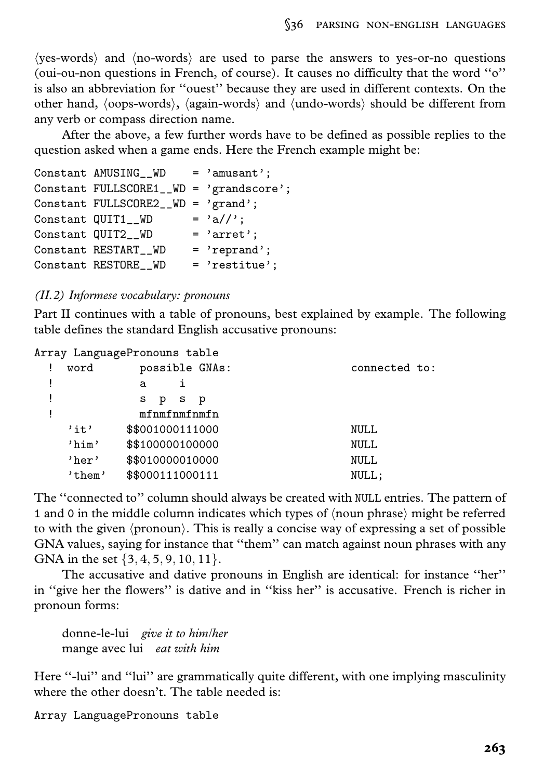$\langle yes-words \rangle$  and  $\langle no-words \rangle$  are used to parse the answers to yes-or-no questions (oui-ou-non questions in French, of course). It causes no difficulty that the word ''o'' is also an abbreviation for ''ouest'' because they are used in different contexts. On the other hand, (oops-words), (again-words) and (undo-words) should be different from any verb or compass direction name.

After the above, a few further words have to be defined as possible replies to the question asked when a game ends. Here the French example might be:

```
Constant AMUSING__WD = 'amusant';
Constant FULLSCORE1__WD = 'grandscore';
Constant FULLSCORE2__WD = 'grand';
Constant QUIT1_WD = a/;
Constant QUIT2 WD = 'arret';
Constant RESTART__WD = 'reprand';
Constant RESTORE__WD = 'restitue';
```
#### *(II.2) Informese vocabulary: pronouns*

Part II continues with a table of pronouns, best explained by example. The following table defines the standard English accusative pronouns:

#### Array LanguagePronouns table

| word      | possible GNAs:           | connected to: |
|-----------|--------------------------|---------------|
|           | i<br>a                   |               |
|           | $\mathbf{s}$<br>s p<br>p |               |
|           | mfnmfnmfnmfn             |               |
| $'$ it'   | \$\$001000111000         | NULL          |
| 'him'     | \$\$100000100000         | NULL          |
| 'her'     | \$\$010000010000         | NULL          |
| $'$ them' | \$\$000111000111         | NULL;         |
|           |                          |               |

The ''connected to'' column should always be created with NULL entries. The pattern of 1 and 0 in the middle column indicates which types of  $\langle$  noun phrase $\rangle$  might be referred to with the given  $\langle$  pronoun $\rangle$ . This is really a concise way of expressing a set of possible GNA values, saying for instance that ''them'' can match against noun phrases with any GNA in the set {3, 4, 5, 9, 10, 11}.

The accusative and dative pronouns in English are identical: for instance ''her'' in ''give her the flowers'' is dative and in ''kiss her'' is accusative. French is richer in pronoun forms:

donne-le-lui *give it to him/her* mange avec lui *eat with him*

Here "-lui" and "lui" are grammatically quite different, with one implying masculinity where the other doesn't. The table needed is:

```
Array LanguagePronouns table
```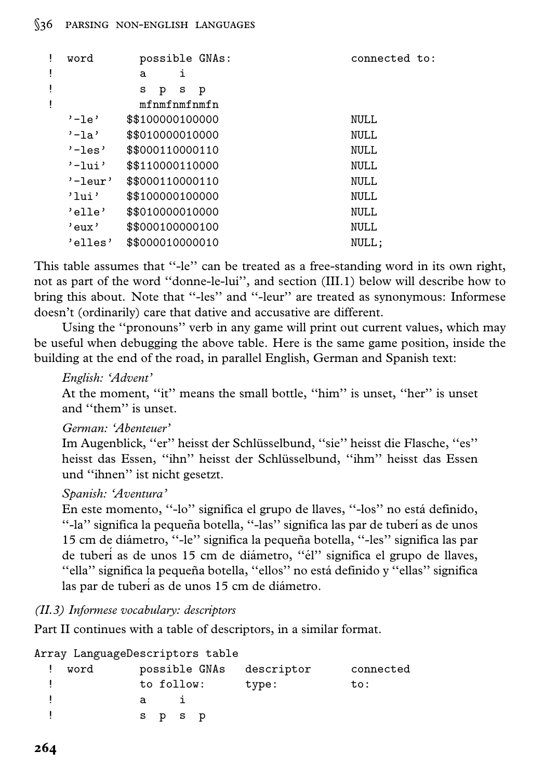| Ţ | word          | possible GNAs:              | connected to: |
|---|---------------|-----------------------------|---------------|
| Ţ |               | i<br>a                      |               |
| ï |               | s<br>s<br>p<br><sub>p</sub> |               |
| ï |               | mfnmfnmfnmfn                |               |
|   | $'$ -le $'$   | \$\$100000100000            | NULL          |
|   | $'$ -la $'$   | \$\$010000010000            | NULL          |
|   | $'$ -les'     | \$\$000110000110            | NULL          |
|   | $'$ -1111 $'$ | \$\$110000110000            | NULL          |
|   | $'$ -leur'    | \$\$000110000110            | NULL          |
|   | $'1$ ui'      | \$\$100000100000            | NULL          |
|   | 'elle'        | \$\$010000010000            | NULL          |
|   | $'$ eux'      | \$\$000100000100            | NULL          |
|   | 'elles'       | \$\$000010000010            | NULL:         |

This table assumes that "-le" can be treated as a free-standing word in its own right, not as part of the word ''donne-le-lui'', and section (III.1) below will describe how to bring this about. Note that ''-les'' and ''-leur'' are treated as synonymous: Informese doesn't (ordinarily) care that dative and accusative are different.

Using the ''pronouns'' verb in any game will print out current values, which may be useful when debugging the above table. Here is the same game position, inside the building at the end of the road, in parallel English, German and Spanish text:

#### *English: 'Advent'*

At the moment, ''it'' means the small bottle, ''him'' is unset, ''her'' is unset and ''them'' is unset.

#### *German: 'Abenteuer'*

Im Augenblick, ''er'' heisst der Schlusselbund, ''sie'' heisst die Flasche, ''es'' ¨ heisst das Essen, ''ihn'' heisst der Schlusselbund, ''ihm'' heisst das Essen ¨ und ''ihnen'' ist nicht gesetzt.

## *Spanish: 'Aventura'*

En este momento, ''-lo'' significa el grupo de llaves, ''-los'' no esta definido, ´ "-la" significa la pequeña botella, "-las" significa las par de tuberí as de unos 15 cm de diámetro, "-le" significa la pequeña botella, "-les" significa las par de tuberi as de unos 15 cm de diámetro, "él" significa el grupo de llaves, "ella" significa la pequeña botella, "ellos" no está definido y "ellas" significa las par de tuberi as de unos 15 cm de diámetro.

*(II.3) Informese vocabulary: descriptors*

Part II continues with a table of descriptors, in a similar format.

```
Array LanguageDescriptors table
```

| word |   |            |  | possible GNAs descriptor | connected |
|------|---|------------|--|--------------------------|-----------|
|      |   | to follow: |  | type:                    | to:       |
|      | a |            |  |                          |           |
|      |   | spsp       |  |                          |           |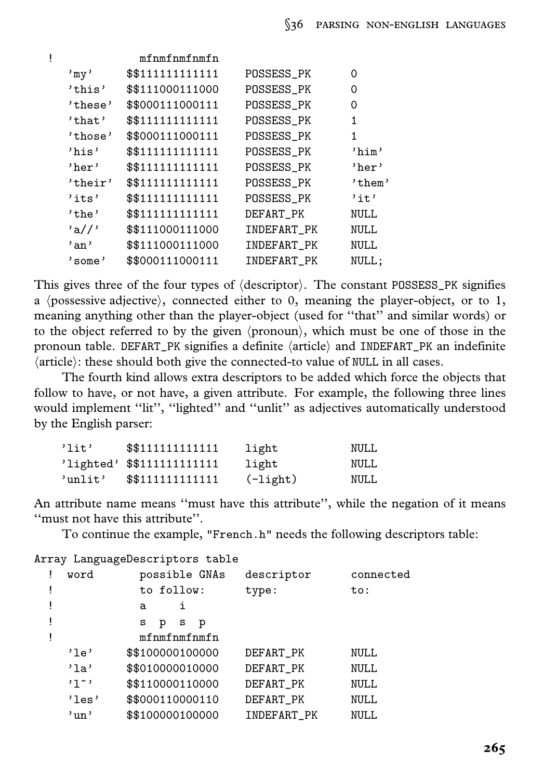| ì |                 | mfnmfnmfnmfn     |             |             |
|---|-----------------|------------------|-------------|-------------|
|   | $,_{\text{my}}$ | \$\$111111111111 | POSSESS_PK  | 0           |
|   | 'this'          | \$\$111000111000 | POSSESS_PK  | 0           |
|   | 'these'         | \$\$000111000111 | POSSESS PK  | 0           |
|   | 'that'          | \$\$111111111111 | POSSESS_PK  | 1           |
|   | 'those'         | \$\$000111000111 | POSSESS PK  | 1           |
|   | 'his'           | \$\$111111111111 | POSSESS_PK  | 'him'       |
|   | 'her'           | \$\$111111111111 | POSSESS PK  | 'her'       |
|   | 'their'         | \$\$111111111111 | POSSESS PK  | 'them'      |
|   | 'its'           | \$\$111111111111 | POSSESS PK  | $'$ it'     |
|   | 'the'           | \$\$111111111111 | DEFART_PK   | <b>NULL</b> |
|   | a//             | \$\$111000111000 | INDEFART_PK | NULL        |
|   | 'an'            | \$\$111000111000 | INDEFART PK | NULL        |
|   | $'s$ ome'       | \$\$000111000111 | INDEFART PK | NULL;       |

This gives three of the four types of  $\langle$  descriptor $\rangle$ . The constant POSSESS\_PK signifies a (possessive adjective), connected either to 0, meaning the player-object, or to 1, meaning anything other than the player-object (used for ''that'' and similar words) or to the object referred to by the given  $\langle$  pronoun $\rangle$ , which must be one of those in the pronoun table. DEFART\_PK signifies a definite  $\langle$ article $\rangle$  and INDEFART\_PK an indefinite  $\langle$  article $\rangle$ : these should both give the connected-to value of NULL in all cases.

The fourth kind allows extra descriptors to be added which force the objects that follow to have, or not have, a given attribute. For example, the following three lines would implement ''lit'', ''lighted'' and ''unlit'' as adjectives automatically understood by the English parser:

| $'$ 1 i t $'$ | \$\$111111111111            | light      | NULL.       |
|---------------|-----------------------------|------------|-------------|
|               | 'lighted' \$\$1111111111111 | light      | NULL        |
| 'unlit'       | \$\$111111111111            | $(-light)$ | <b>NULL</b> |

An attribute name means ''must have this attribute'', while the negation of it means ''must not have this attribute''.

To continue the example, "French.h" needs the following descriptors table:

|              | .                           |             |           |
|--------------|-----------------------------|-------------|-----------|
| word<br>Ţ    | possible GNAs               | descriptor  | connected |
| ш            | to follow:                  | type:       | to:       |
| ı            | i<br>a                      |             |           |
| ï            | s<br>s<br>р<br>$\mathbf{p}$ |             |           |
| ï            | mfnmfnmfnmfn                |             |           |
| '1e'         | \$\$100000100000            | DEFART_PK   | NULL      |
| '1a'         | \$\$010000010000            | DEFART_PK   | NULL      |
| י ^ ך י      | \$\$110000110000            | DEFART_PK   | NULL      |
| 'les'        | \$\$000110000110            | DEFART_PK   | NULL      |
| $v_{\rm un}$ | \$\$100000100000            | INDEFART PK | NULL      |
|              |                             |             |           |

Array LanguageDescriptors table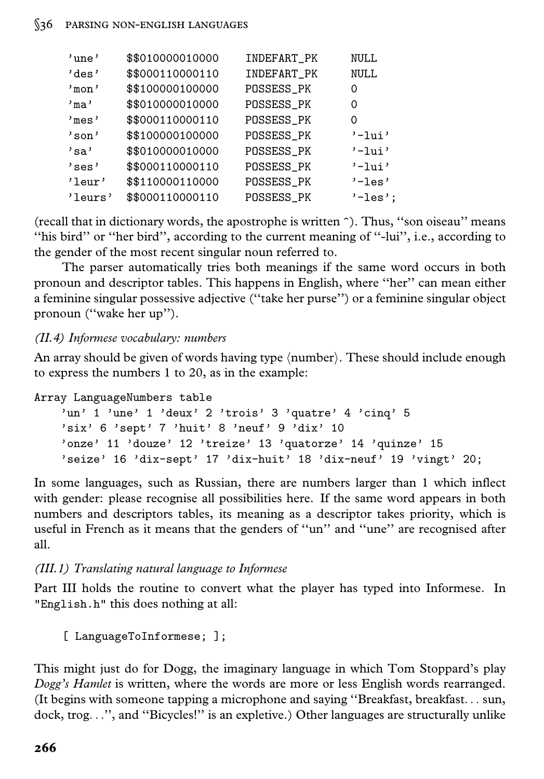| $'$ une'    | \$\$010000010000 | INDEFART PK | NULL         |
|-------------|------------------|-------------|--------------|
| 'des'       | \$\$000110000110 | INDEFART_PK | NULL         |
| $,$ mon $'$ | \$\$100000100000 | POSSESS PK  | 0            |
| 'ma'        | \$\$010000010000 | POSSESS PK  | 0            |
| 'mes'       | \$\$000110000110 | POSSESS_PK  | 0            |
| 'son'       | \$\$100000100000 | POSSESS PK  | '-lui'       |
| 'sa'        | \$\$010000010000 | POSSESS PK  | $'$ -lui $'$ |
| 'ses'       | \$\$000110000110 | POSSESS_PK  | '-lui'       |
| $'$ leur'   | \$\$110000110000 | POSSESS_PK  | '-les'       |
| 'leurs'     | \$\$000110000110 | POSSESS PK  | $'$ -les';   |

(recall that in dictionary words, the apostrophe is written ^). Thus, ''son oiseau'' means "his bird" or "her bird", according to the current meaning of "-lui", i.e., according to the gender of the most recent singular noun referred to.

The parser automatically tries both meanings if the same word occurs in both pronoun and descriptor tables. This happens in English, where ''her'' can mean either a feminine singular possessive adjective (''take her purse'') or a feminine singular object pronoun (''wake her up'').

#### *(II.4) Informese vocabulary: numbers*

An array should be given of words having type  $\langle$  number). These should include enough to express the numbers 1 to 20, as in the example:

```
Array LanguageNumbers table
    'un' 1 'une' 1 'deux' 2 'trois' 3 'quatre' 4 'cinq' 5
    'six' 6 'sept' 7 'huit' 8 'neuf' 9 'dix' 10
    'onze' 11 'douze' 12 'treize' 13 'quatorze' 14 'quinze' 15
    'seize' 16 'dix-sept' 17 'dix-huit' 18 'dix-neuf' 19 'vingt' 20;
```
In some languages, such as Russian, there are numbers larger than 1 which inflect with gender: please recognise all possibilities here. If the same word appears in both numbers and descriptors tables, its meaning as a descriptor takes priority, which is useful in French as it means that the genders of ''un'' and ''une'' are recognised after all.

#### *(III.1) Translating natural language to Informese*

Part III holds the routine to convert what the player has typed into Informese. In "English.h" this does nothing at all:

[ LanguageToInformese; ];

This might just do for Dogg, the imaginary language in which Tom Stoppard's play *Dogg's Hamlet* is written, where the words are more or less English words rearranged. (It begins with someone tapping a microphone and saying ''Breakfast, breakfast. . . sun, dock, trog. . .'', and ''Bicycles!'' is an expletive.) Other languages are structurally unlike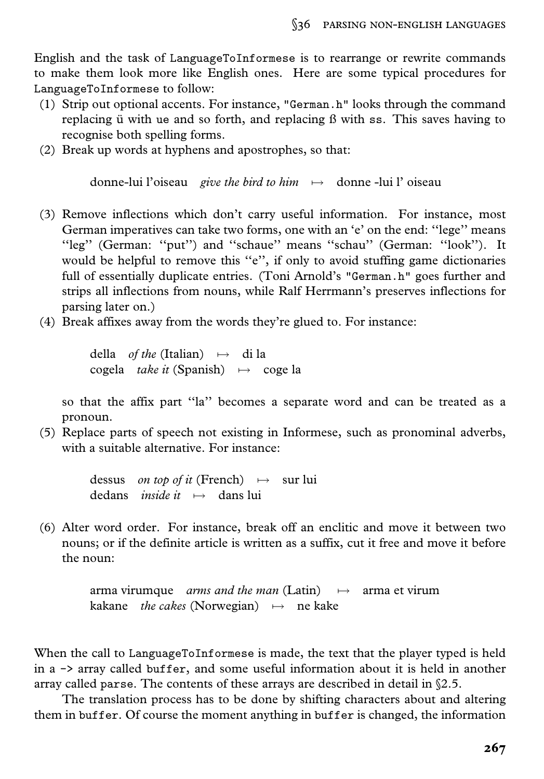English and the task of LanguageToInformese is to rearrange or rewrite commands to make them look more like English ones. Here are some typical procedures for LanguageToInformese to follow:

- (1) Strip out optional accents. For instance, "German.h" looks through the command replacing ü with ue and so forth, and replacing ß with ss. This saves having to recognise both spelling forms.
- (2) Break up words at hyphens and apostrophes, so that:

donne-lui l'oiseau *give the bird to him* 7→ donne -lui l' oiseau

- (3) Remove inflections which don't carry useful information. For instance, most German imperatives can take two forms, one with an 'e' on the end: "lege" means ''leg'' (German: ''put'') and ''schaue'' means ''schau'' (German: ''look''). It would be helpful to remove this "e", if only to avoid stuffing game dictionaries full of essentially duplicate entries. (Toni Arnold's "German.h" goes further and strips all inflections from nouns, while Ralf Herrmann's preserves inflections for parsing later on.)
- (4) Break affixes away from the words they're glued to. For instance:

della *of the* (Italian) 7→ di la cogela *take it* (Spanish) 7→ coge la

so that the affix part ''la'' becomes a separate word and can be treated as a pronoun.

(5) Replace parts of speech not existing in Informese, such as pronominal adverbs, with a suitable alternative. For instance:

> dessus *on top of it* (French) 7→ sur lui dedans *inside it* 7→ dans lui

(6) Alter word order. For instance, break off an enclitic and move it between two nouns; or if the definite article is written as a suffix, cut it free and move it before the noun:

> arma virumque *arms and the man* (Latin)  $\mapsto$  arma et virum kakane *the cakes* (Norwegian) 7→ ne kake

When the call to LanguageToInformese is made, the text that the player typed is held in a -> array called buffer, and some useful information about it is held in another array called parse. The contents of these arrays are described in detail in §2.5.

The translation process has to be done by shifting characters about and altering them in buffer. Of course the moment anything in buffer is changed, the information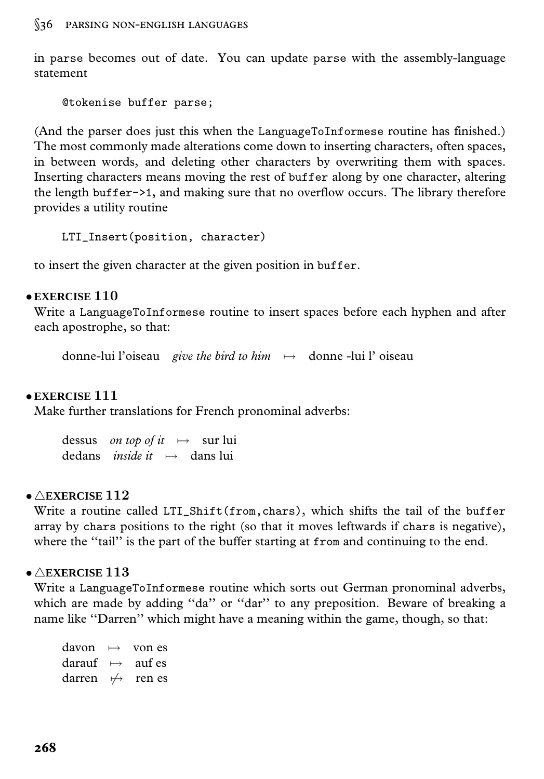in parse becomes out of date. You can update parse with the assembly-language statement

@tokenise buffer parse;

(And the parser does just this when the LanguageToInformese routine has finished.) The most commonly made alterations come down to inserting characters, often spaces, in between words, and deleting other characters by overwriting them with spaces. Inserting characters means moving the rest of buffer along by one character, altering the length buffer->1, and making sure that no overflow occurs. The library therefore provides a utility routine

LTI\_Insert(position, character)

to insert the given character at the given position in buffer.

#### • **EXERCISE** 110

Write a LanguageToInformese routine to insert spaces before each hyphen and after each apostrophe, so that:

donne-lui l'oiseau *give the bird to him* 7→ donne -lui l' oiseau

#### • **EXERCISE** 111

Make further translations for French pronominal adverbs:

dessus *on top of it*  $\mapsto$  sur lui dedans *inside it* 7→ dans lui

#### •**△EXERCISE** 112

Write a routine called LTI\_Shift(from,chars), which shifts the tail of the buffer array by chars positions to the right (so that it moves leftwards if chars is negative), where the "tail" is the part of the buffer starting at from and continuing to the end.

#### • **AEXERCISE** 113

Write a LanguageToInformese routine which sorts out German pronominal adverbs, which are made by adding "da" or "dar" to any preposition. Beware of breaking a name like ''Darren'' which might have a meaning within the game, though, so that:

davon 7→ von es darauf 7→ auf es darren  $\leftrightarrow$  ren es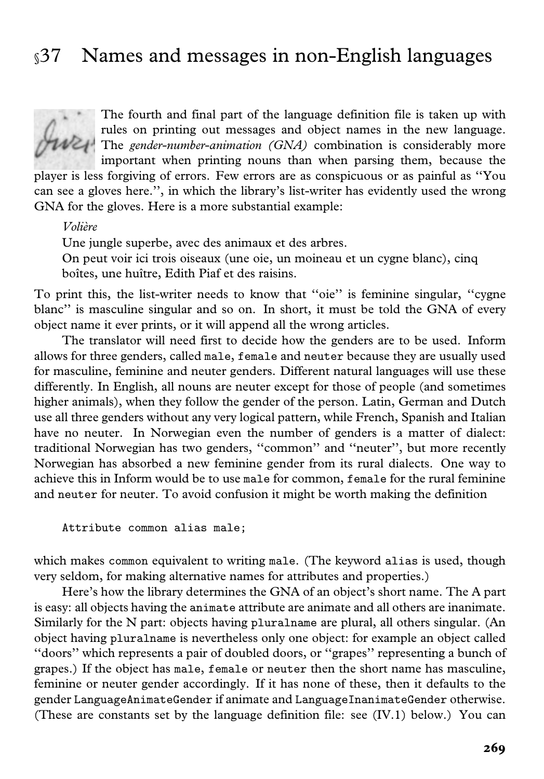## §37 Names and messages in non-English languages



The fourth and final part of the language definition file is taken up with rules on printing out messages and object names in the new language. The gender-number-animation (GNA) combination is considerably more<br>The gender-number-animation (GNA) combination is considerably more important when printing nouns than when parsing them, because the

player is less forgiving of errors. Few errors are as conspicuous or as painful as ''You can see a gloves here.'', in which the library's list-writer has evidently used the wrong GNA for the gloves. Here is a more substantial example:

*Voliere `*

Une jungle superbe, avec des animaux et des arbres.

On peut voir ici trois oiseaux (une oie, un moineau et un cygne blanc), cinq boîtes, une huître, Edith Piaf et des raisins.

To print this, the list-writer needs to know that ''oie'' is feminine singular, ''cygne blanc'' is masculine singular and so on. In short, it must be told the GNA of every object name it ever prints, or it will append all the wrong articles.

The translator will need first to decide how the genders are to be used. Inform allows for three genders, called male, female and neuter because they are usually used for masculine, feminine and neuter genders. Different natural languages will use these differently. In English, all nouns are neuter except for those of people (and sometimes higher animals), when they follow the gender of the person. Latin, German and Dutch use all three genders without any very logical pattern, while French, Spanish and Italian have no neuter. In Norwegian even the number of genders is a matter of dialect: traditional Norwegian has two genders, ''common'' and ''neuter'', but more recently Norwegian has absorbed a new feminine gender from its rural dialects. One way to achieve this in Inform would be to use male for common, female for the rural feminine and neuter for neuter. To avoid confusion it might be worth making the definition

```
Attribute common alias male;
```
which makes common equivalent to writing male. (The keyword alias is used, though very seldom, for making alternative names for attributes and properties.)

Here's how the library determines the GNA of an object's short name. The A part is easy: all objects having the animate attribute are animate and all others are inanimate. Similarly for the N part: objects having pluralname are plural, all others singular. (An object having pluralname is nevertheless only one object: for example an object called ''doors'' which represents a pair of doubled doors, or ''grapes'' representing a bunch of grapes.) If the object has male, female or neuter then the short name has masculine, feminine or neuter gender accordingly. If it has none of these, then it defaults to the gender LanguageAnimateGender if animate and LanguageInanimateGender otherwise. (These are constants set by the language definition file: see (IV.1) below.) You can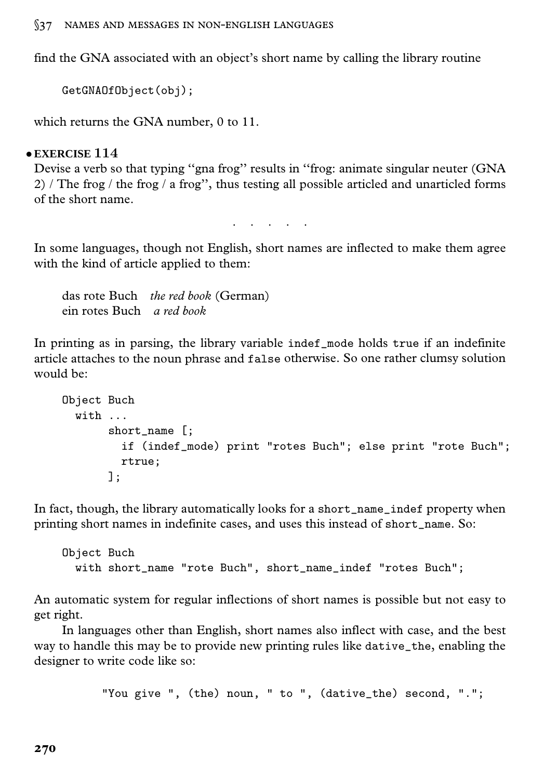find the GNA associated with an object's short name by calling the library routine

```
GetGNAOfObject(obj);
```
which returns the GNA number, 0 to 11.

#### • **EXERCISE** 114

Devise a verb so that typing ''gna frog'' results in ''frog: animate singular neuter (GNA 2) / The frog / the frog / a frog'', thus testing all possible articled and unarticled forms of the short name.

· · · · ·

In some languages, though not English, short names are inflected to make them agree with the kind of article applied to them:

das rote Buch *the red book* (German) ein rotes Buch *a red book*

In printing as in parsing, the library variable indef\_mode holds true if an indefinite article attaches to the noun phrase and false otherwise. So one rather clumsy solution would be:

```
Object Buch
  with ...
       short_name [;
         if (indef_mode) print "rotes Buch"; else print "rote Buch";
         rtrue;
       ];
```
In fact, though, the library automatically looks for a short\_name\_indef property when printing short names in indefinite cases, and uses this instead of short\_name. So:

```
Object Buch
  with short_name "rote Buch", short_name_indef "rotes Buch";
```
An automatic system for regular inflections of short names is possible but not easy to get right.

In languages other than English, short names also inflect with case, and the best way to handle this may be to provide new printing rules like dative\_the, enabling the designer to write code like so:

"You give ", (the) noun, " to ", (dative\_the) second, ".";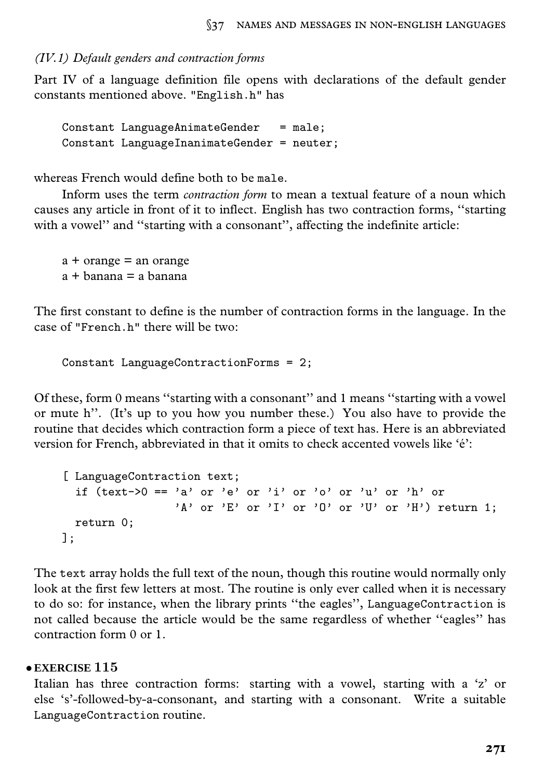#### *(IV.1) Default genders and contraction forms*

Part IV of a language definition file opens with declarations of the default gender constants mentioned above. "English.h" has

Constant LanguageAnimateGender = male; Constant LanguageInanimateGender = neuter;

whereas French would define both to be male.

Inform uses the term *contraction form* to mean a textual feature of a noun which causes any article in front of it to inflect. English has two contraction forms, ''starting with a vowel'' and ''starting with a consonant'', affecting the indefinite article:

 $a + \text{orange} =$  an orange a + banana = a banana

The first constant to define is the number of contraction forms in the language. In the case of "French.h" there will be two:

Constant LanguageContractionForms = 2;

Of these, form 0 means ''starting with a consonant'' and 1 means ''starting with a vowel or mute h''. (It's up to you how you number these.) You also have to provide the routine that decides which contraction form a piece of text has. Here is an abbreviated version for French, abbreviated in that it omits to check accented vowels like 'é':

```
[ LanguageContraction text;
  if (text->0 == 'a' or 'e' or 'i' or 'o' or 'u' or 'h' or
                 'A' or 'E' or 'I' or 'O' or 'U' or 'H') return 1;
 return 0;
];
```
The text array holds the full text of the noun, though this routine would normally only look at the first few letters at most. The routine is only ever called when it is necessary to do so: for instance, when the library prints ''the eagles'', LanguageContraction is not called because the article would be the same regardless of whether ''eagles'' has contraction form 0 or 1.

#### • **EXERCISE** 115

Italian has three contraction forms: starting with a vowel, starting with a 'z' or else 's'-followed-by-a-consonant, and starting with a consonant. Write a suitable LanguageContraction routine.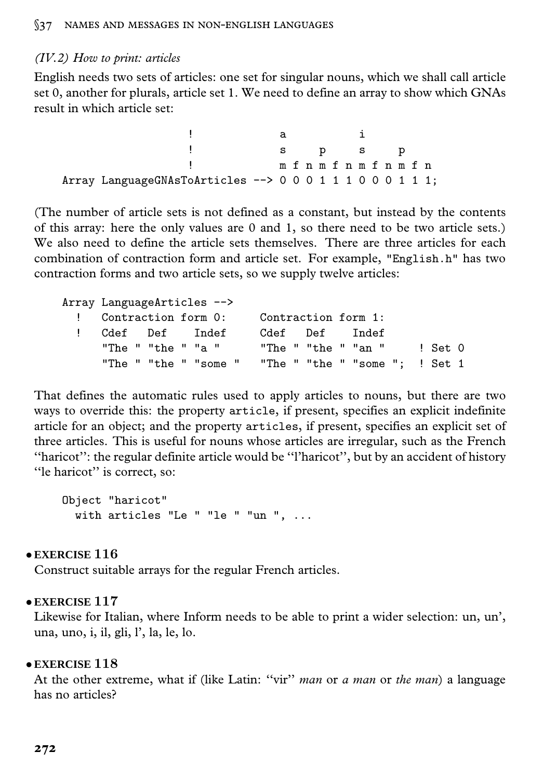#### *(IV.2) How to print: articles*

English needs two sets of articles: one set for singular nouns, which we shall call article set 0, another for plurals, article set 1. We need to define an array to show which GNAs result in which article set:

! a i ! s p s p ! m f n m f n m f n m f n Array LanguageGNAsToArticles --> 0 0 0 1 1 1 0 0 0 1 1 1;

(The number of article sets is not defined as a constant, but instead by the contents of this array: here the only values are 0 and 1, so there need to be two article sets.) We also need to define the article sets themselves. There are three articles for each combination of contraction form and article set. For example, "English.h" has two contraction forms and two article sets, so we supply twelve articles:

| Array LanguageArticles --> |                                |  |
|----------------------------|--------------------------------|--|
| ! Contraction form 0:      | Contraction form 1:            |  |
| Cdef Def Tndef             | Cdef Def Indef                 |  |
| "The " "the " "a "         | "The " "the " "an "<br>! Set 0 |  |
| "The " "the " "some "      | "The " "the " "some "; ! Set 1 |  |

That defines the automatic rules used to apply articles to nouns, but there are two ways to override this: the property article, if present, specifies an explicit indefinite article for an object; and the property articles, if present, specifies an explicit set of three articles. This is useful for nouns whose articles are irregular, such as the French ''haricot'': the regular definite article would be ''l'haricot'', but by an accident of history "le haricot" is correct, so:

```
Object "haricot"
  with articles "Le " "le " "un ", ...
```
#### • **EXERCISE** 116

Construct suitable arrays for the regular French articles.

#### • **EXERCISE** 117

Likewise for Italian, where Inform needs to be able to print a wider selection: un, un', una, uno, i, il, gli, l', la, le, lo.

#### • **EXERCISE** 118

At the other extreme, what if (like Latin: ''vir'' *man* or *a man* or *the man*) a language has no articles?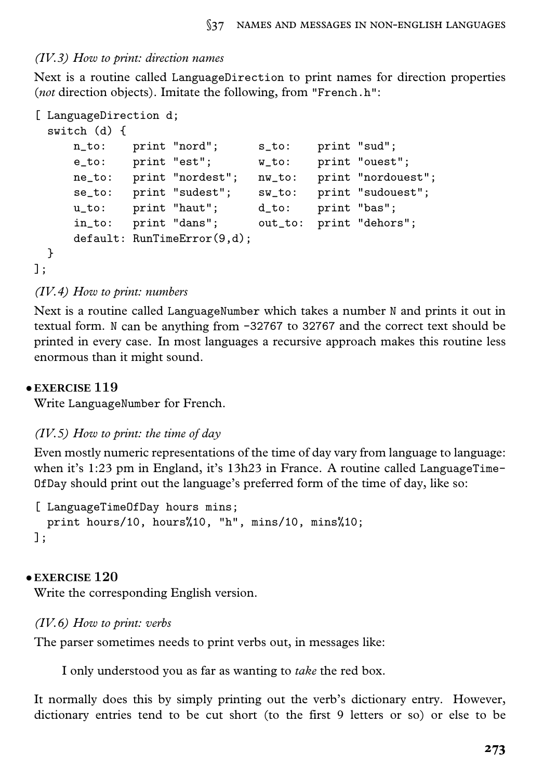#### *(IV.3) How to print: direction names*

Next is a routine called LanguageDirection to print names for direction properties (*not* direction objects). Imitate the following, from "French.h":

```
[ LanguageDirection d;
 switch (d) {
     n_to: print "nord"; s_to: print "sud";
     e_to: print "est"; w_to: print "ouest";
     ne_to: print "nordest"; nw_to: print "nordouest";
     se_to: print "sudest"; sw_to: print "sudouest";
     u_to: print "haut"; d_to: print "bas";
     in_to: print "dans"; out_to: print "dehors";
     default: RunTimeError(9,d);
 }
];
```
*(IV.4) How to print: numbers*

Next is a routine called LanguageNumber which takes a number N and prints it out in textual form. N can be anything from -32767 to 32767 and the correct text should be printed in every case. In most languages a recursive approach makes this routine less enormous than it might sound.

#### • **EXERCISE** 119

Write LanguageNumber for French.

#### *(IV.5) How to print: the time of day*

Even mostly numeric representations of the time of day vary from language to language: when it's 1:23 pm in England, it's  $13h23$  in France. A routine called LanguageTime-OfDay should print out the language's preferred form of the time of day, like so:

```
[ LanguageTimeOfDay hours mins;
 print hours/10, hours%10, "h", mins/10, mins%10;
];
```
#### • **EXERCISE** 120

Write the corresponding English version.

#### *(IV.6) How to print: verbs*

The parser sometimes needs to print verbs out, in messages like:

I only understood you as far as wanting to *take* the red box.

It normally does this by simply printing out the verb's dictionary entry. However, dictionary entries tend to be cut short (to the first 9 letters or so) or else to be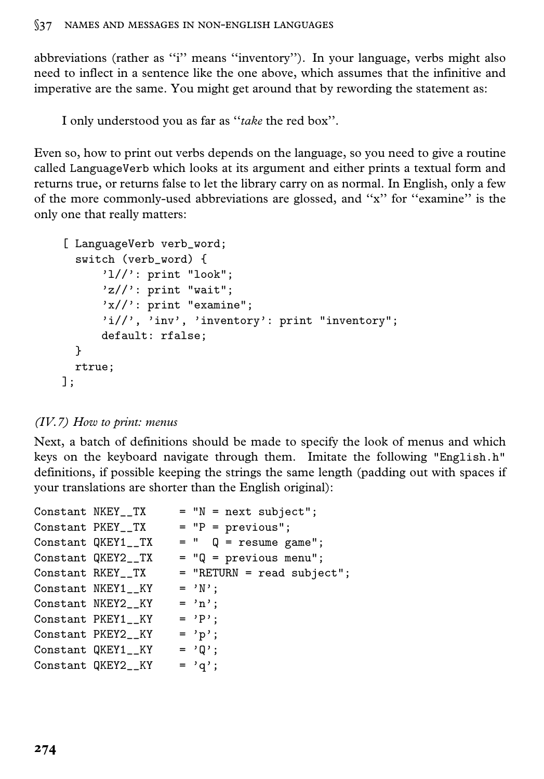abbreviations (rather as ''i'' means ''inventory''). In your language, verbs might also need to inflect in a sentence like the one above, which assumes that the infinitive and imperative are the same. You might get around that by rewording the statement as:

I only understood you as far as ''*take* the red box''.

Even so, how to print out verbs depends on the language, so you need to give a routine called LanguageVerb which looks at its argument and either prints a textual form and returns true, or returns false to let the library carry on as normal. In English, only a few of the more commonly-used abbreviations are glossed, and ''x'' for ''examine'' is the only one that really matters:

```
[ LanguageVerb verb_word;
  switch (verb_word) {
      'l//': print "look";
      'z//': print "wait";
      'x//': print "examine";
      'i//', 'inv', 'inventory': print "inventory";
      default: rfalse;
  }
 rtrue;
];
```
#### *(IV.7) How to print: menus*

Next, a batch of definitions should be made to specify the look of menus and which keys on the keyboard navigate through them. Imitate the following "English.h" definitions, if possible keeping the strings the same length (padding out with spaces if your translations are shorter than the English original):

| Constant NKEY__TX  | $= "N = next subject";$      |
|--------------------|------------------------------|
| Constant PKEY__TX  | $= "P = previous";$          |
| Constant QKEY1__TX | $= " Q =$ resume game";      |
| Constant QKEY2_TX  | $= "Q = previous menu";$     |
| Constant RKEY__TX  | $=$ "RETURN = read subject"; |
| Constant NKEY1__KY | $= 'N'$ :                    |
| Constant NKEY2__KY | $=$ 'n';                     |
| Constant PKEY1__KY | $=$ 'P':                     |
| Constant PKEY2__KY | $=$ 'p';                     |
| Constant QKEY1__KY | $= 'Q':$                     |
| Constant QKEY2_KY  | $= 'q';$                     |
|                    |                              |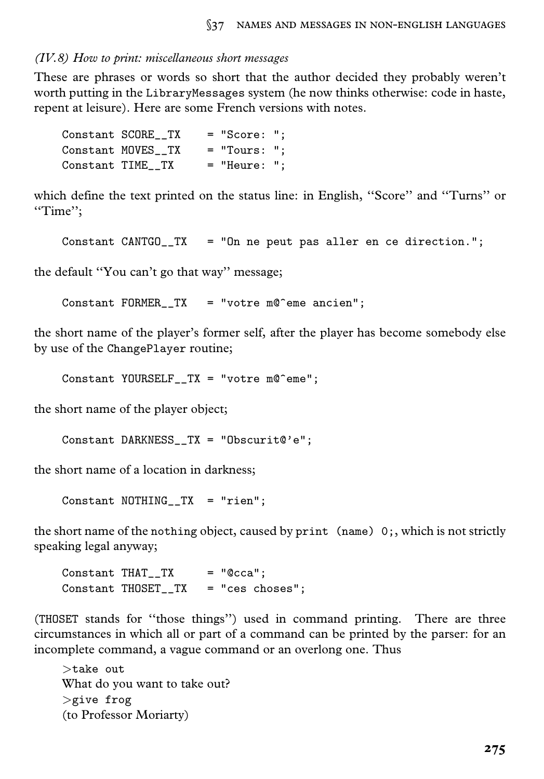#### *(IV.8) How to print: miscellaneous short messages*

These are phrases or words so short that the author decided they probably weren't worth putting in the LibraryMessages system (he now thinks otherwise: code in haste, repent at leisure). Here are some French versions with notes.

| Constant SCORE TX | $= "Score: "$  |  |
|-------------------|----------------|--|
| Constant MOVES TX | $=$ "Tours: ": |  |
| Constant TIME TX  | $=$ "Heure: ": |  |

which define the text printed on the status line: in English, "Score" and "Turns" or ''Time'';

Constant CANTGO\_\_TX = "On ne peut pas aller en ce direction.";

the default ''You can't go that way'' message;

Constant  $FORMER_TX = "votre m@\texttt{`eme} ancien";$ 

the short name of the player's former self, after the player has become somebody else by use of the ChangePlayer routine;

Constant YOURSELF\_\_TX = "votre m@^eme";

the short name of the player object;

Constant DARKNESS\_\_TX = "Obscurit@'e";

the short name of a location in darkness;

Constant NOTHING\_\_TX = "rien";

the short name of the nothing object, caused by print (name) 0;, which is not strictly speaking legal anyway;

 $Constant$   $THAT$ <sub> $-TX$ </sub> =  $"Qcca"$ ; Constant THOSET\_\_TX = "ces choses";

(THOSET stands for ''those things'') used in command printing. There are three circumstances in which all or part of a command can be printed by the parser: for an incomplete command, a vague command or an overlong one. Thus

>take out What do you want to take out? >give frog (to Professor Moriarty)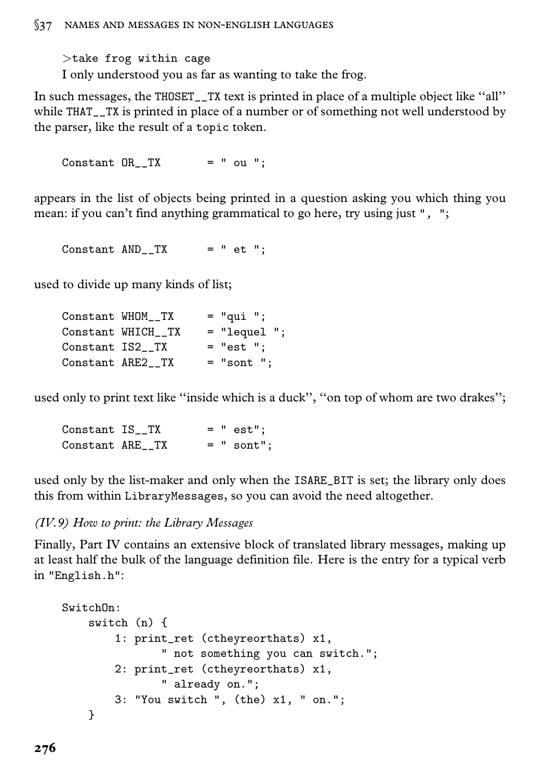>take frog within cage

I only understood you as far as wanting to take the frog.

In such messages, the THOSET\_\_TX text is printed in place of a multiple object like ''all'' while THAT\_\_TX is printed in place of a number or of something not well understood by the parser, like the result of a topic token.

Constant  $OR_TTX = " ou ";$ 

appears in the list of objects being printed in a question asking you which thing you mean: if you can't find anything grammatical to go here, try using just ", ";

Constant  $AND_$ TX = " et ";

used to divide up many kinds of list;

|                  | Constant WHOM TX   | $=$ "qui ";    |
|------------------|--------------------|----------------|
|                  | Constant WHICH__TX | $=$ "lequel "; |
| Constant IS2__TX |                    | $=$ "est":     |
|                  | Constant ARE2__TX  | $=$ "sont ":   |

used only to print text like ''inside which is a duck'', ''on top of whom are two drakes'';

 $Constant$   $IS_$ TX = "  $est$ "; Constant ARE\_\_TX = " sont";

used only by the list-maker and only when the ISARE\_BIT is set; the library only does this from within LibraryMessages, so you can avoid the need altogether.

#### *(IV.9) How to print: the Library Messages*

Finally, Part IV contains an extensive block of translated library messages, making up at least half the bulk of the language definition file. Here is the entry for a typical verb in "English.h":

```
SwitchOn:
    switch (n) {
        1: print_ret (ctheyreorthats) x1,
               " not something you can switch.";
        2: print_ret (ctheyreorthats) x1,
               " already on.";
        3: "You switch ", (the) x1, " on.";
    }
```